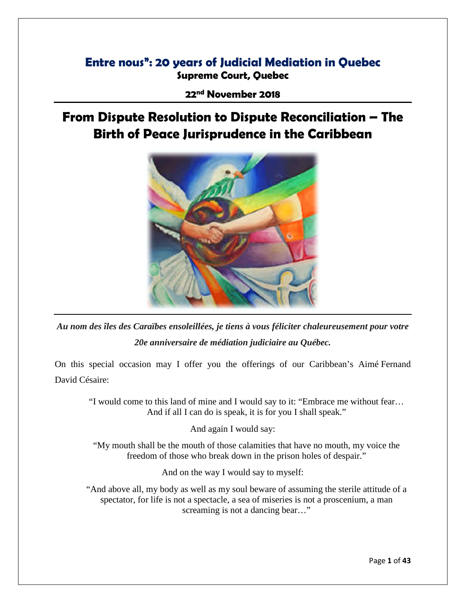## **Entre nous": 20 years of Judicial Mediation in Quebec Supreme Court, Quebec**

**22nd November 2018**

# **From Dispute Resolution to Dispute Reconciliation – The Birth of Peace Jurisprudence in the Caribbean**



*Au nom des îles des Caraïbes ensoleillées, je tiens à vous féliciter chaleureusement pour votre 20e anniversaire de médiation judiciaire au Québec.*

On this special occasion may I offer you the offerings of our Caribbean's Aimé Fernand David Césaire:

"I would come to this land of mine and I would say to it: "Embrace me without fear… And if all I can do is speak, it is for you I shall speak."

And again I would say:

"My mouth shall be the mouth of those calamities that have no mouth, my voice the freedom of those who break down in the prison holes of despair."

And on the way I would say to myself:

"And above all, my body as well as my soul beware of assuming the sterile attitude of a spectator, for life is not a spectacle, a sea of miseries is not a proscenium, a man screaming is not a dancing bear..."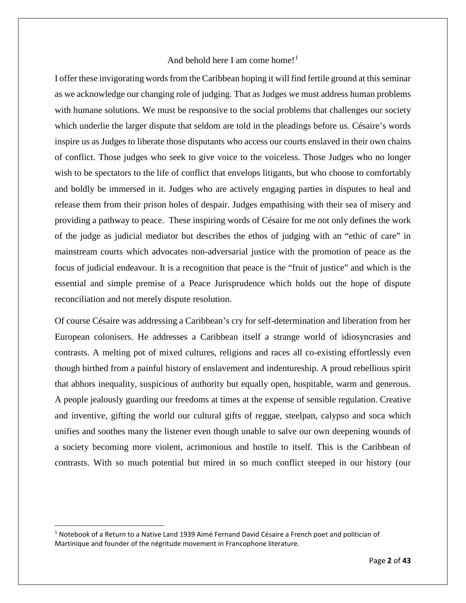#### And behold here I am come home!<sup>[1](#page-1-0)</sup>

I offer these invigorating words from the Caribbean hoping it will find fertile ground at this seminar as we acknowledge our changing role of judging. That as Judges we must address human problems with humane solutions. We must be responsive to the social problems that challenges our society which underlie the larger dispute that seldom are told in the pleadings before us. Césaire's words inspire us as Judges to liberate those disputants who access our courts enslaved in their own chains of conflict. Those judges who seek to give voice to the voiceless. Those Judges who no longer wish to be spectators to the life of conflict that envelops litigants, but who choose to comfortably and boldly be immersed in it. Judges who are actively engaging parties in disputes to heal and release them from their prison holes of despair. Judges empathising with their sea of misery and providing a pathway to peace. These inspiring words of Césaire for me not only defines the work of the judge as judicial mediator but describes the ethos of judging with an "ethic of care" in mainstream courts which advocates non-adversarial justice with the promotion of peace as the focus of judicial endeavour. It is a recognition that peace is the "fruit of justice" and which is the essential and simple premise of a Peace Jurisprudence which holds out the hope of dispute reconciliation and not merely dispute resolution.

Of course Césaire was addressing a Caribbean's cry for self-determination and liberation from her European colonisers. He addresses a Caribbean itself a strange world of idiosyncrasies and contrasts. A melting pot of mixed cultures, religions and races all co-existing effortlessly even though birthed from a painful history of enslavement and indentureship. A proud rebellious spirit that abhors inequality, suspicious of authority but equally open, hospitable, warm and generous. A people jealously guarding our freedoms at times at the expense of sensible regulation. Creative and inventive, gifting the world our cultural gifts of reggae, steelpan, calypso and soca which unifies and soothes many the listener even though unable to salve our own deepening wounds of a society becoming more violent, acrimonious and hostile to itself. This is the Caribbean of contrasts. With so much potential but mired in so much conflict steeped in our history (our

<span id="page-1-0"></span><sup>&</sup>lt;sup>1</sup> Notebook of a Return to a Native Land 1939 Aimé Fernand David Césaire a French poet and politician of Martinique and founder of the négritude movement in Francophone literature.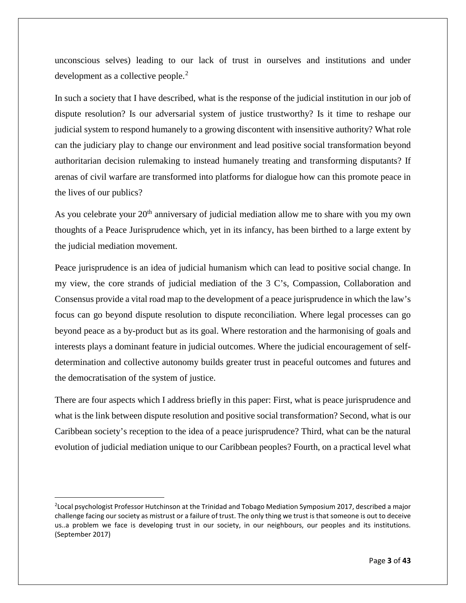unconscious selves) leading to our lack of trust in ourselves and institutions and under development as a collective people.<sup>[2](#page-2-0)</sup>

In such a society that I have described, what is the response of the judicial institution in our job of dispute resolution? Is our adversarial system of justice trustworthy? Is it time to reshape our judicial system to respond humanely to a growing discontent with insensitive authority? What role can the judiciary play to change our environment and lead positive social transformation beyond authoritarian decision rulemaking to instead humanely treating and transforming disputants? If arenas of civil warfare are transformed into platforms for dialogue how can this promote peace in the lives of our publics?

As you celebrate your  $20<sup>th</sup>$  anniversary of judicial mediation allow me to share with you my own thoughts of a Peace Jurisprudence which, yet in its infancy, has been birthed to a large extent by the judicial mediation movement.

Peace jurisprudence is an idea of judicial humanism which can lead to positive social change. In my view, the core strands of judicial mediation of the 3 C's, Compassion, Collaboration and Consensus provide a vital road map to the development of a peace jurisprudence in which the law's focus can go beyond dispute resolution to dispute reconciliation. Where legal processes can go beyond peace as a by-product but as its goal. Where restoration and the harmonising of goals and interests plays a dominant feature in judicial outcomes. Where the judicial encouragement of selfdetermination and collective autonomy builds greater trust in peaceful outcomes and futures and the democratisation of the system of justice.

There are four aspects which I address briefly in this paper: First, what is peace jurisprudence and what is the link between dispute resolution and positive social transformation? Second, what is our Caribbean society's reception to the idea of a peace jurisprudence? Third, what can be the natural evolution of judicial mediation unique to our Caribbean peoples? Fourth, on a practical level what

<span id="page-2-0"></span> $\overline{2}$  $2$ Local psychologist Professor Hutchinson at the Trinidad and Tobago Mediation Symposium 2017, described a major challenge facing our society as mistrust or a failure of trust. The only thing we trust is that someone is out to deceive us..a problem we face is developing trust in our society, in our neighbours, our peoples and its institutions. (September 2017)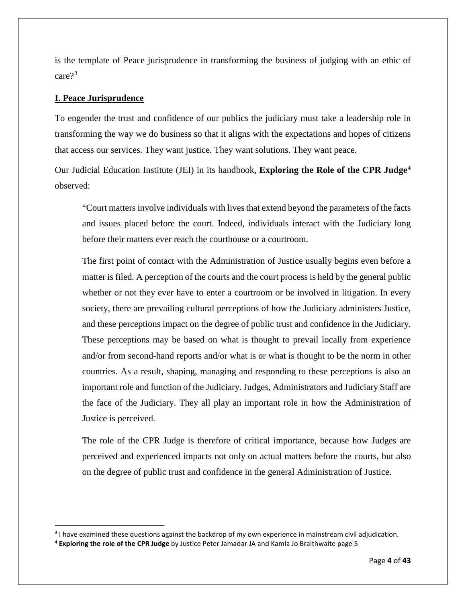is the template of Peace jurisprudence in transforming the business of judging with an ethic of care?<sup>[3](#page-3-0)</sup>

#### **I. Peace Jurisprudence**

To engender the trust and confidence of our publics the judiciary must take a leadership role in transforming the way we do business so that it aligns with the expectations and hopes of citizens that access our services. They want justice. They want solutions. They want peace.

Our Judicial Education Institute (JEI) in its handbook, **Exploring the Role of the CPR Judge[4](#page-3-1)** observed:

"Court matters involve individuals with lives that extend beyond the parameters of the facts and issues placed before the court. Indeed, individuals interact with the Judiciary long before their matters ever reach the courthouse or a courtroom.

The first point of contact with the Administration of Justice usually begins even before a matter is filed. A perception of the courts and the court process is held by the general public whether or not they ever have to enter a courtroom or be involved in litigation. In every society, there are prevailing cultural perceptions of how the Judiciary administers Justice, and these perceptions impact on the degree of public trust and confidence in the Judiciary. These perceptions may be based on what is thought to prevail locally from experience and/or from second-hand reports and/or what is or what is thought to be the norm in other countries. As a result, shaping, managing and responding to these perceptions is also an important role and function of the Judiciary. Judges, Administrators and Judiciary Staff are the face of the Judiciary. They all play an important role in how the Administration of Justice is perceived.

The role of the CPR Judge is therefore of critical importance, because how Judges are perceived and experienced impacts not only on actual matters before the courts, but also on the degree of public trust and confidence in the general Administration of Justice.

<span id="page-3-0"></span> <sup>3</sup> I have examined these questions against the backdrop of my own experience in mainstream civil adjudication.

<span id="page-3-1"></span><sup>4</sup> **Exploring the role of the CPR Judge** by Justice Peter Jamadar JA and Kamla Jo Braithwaite page 5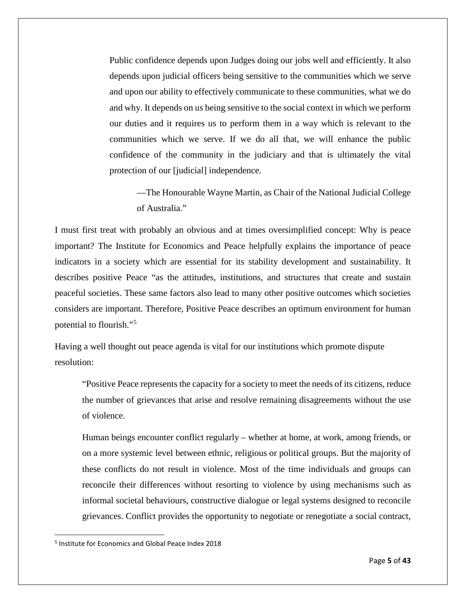Public confidence depends upon Judges doing our jobs well and efficiently. It also depends upon judicial officers being sensitive to the communities which we serve and upon our ability to effectively communicate to these communities, what we do and why. It depends on us being sensitive to the social context in which we perform our duties and it requires us to perform them in a way which is relevant to the communities which we serve. If we do all that, we will enhance the public confidence of the community in the judiciary and that is ultimately the vital protection of our [judicial] independence.

—The Honourable Wayne Martin, as Chair of the National Judicial College of Australia."

I must first treat with probably an obvious and at times oversimplified concept: Why is peace important? The Institute for Economics and Peace helpfully explains the importance of peace indicators in a society which are essential for its stability development and sustainability. It describes positive Peace "as the attitudes, institutions, and structures that create and sustain peaceful societies. These same factors also lead to many other positive outcomes which societies considers are important. Therefore, Positive Peace describes an optimum environment for human potential to flourish."[5](#page-4-0)

Having a well thought out peace agenda is vital for our institutions which promote dispute resolution:

"Positive Peace represents the capacity for a society to meet the needs of its citizens, reduce the number of grievances that arise and resolve remaining disagreements without the use of violence.

Human beings encounter conflict regularly – whether at home, at work, among friends, or on a more systemic level between ethnic, religious or political groups. But the majority of these conflicts do not result in violence. Most of the time individuals and groups can reconcile their differences without resorting to violence by using mechanisms such as informal societal behaviours, constructive dialogue or legal systems designed to reconcile grievances. Conflict provides the opportunity to negotiate or renegotiate a social contract,

<span id="page-4-0"></span> <sup>5</sup> Institute for Economics and Global Peace Index 2018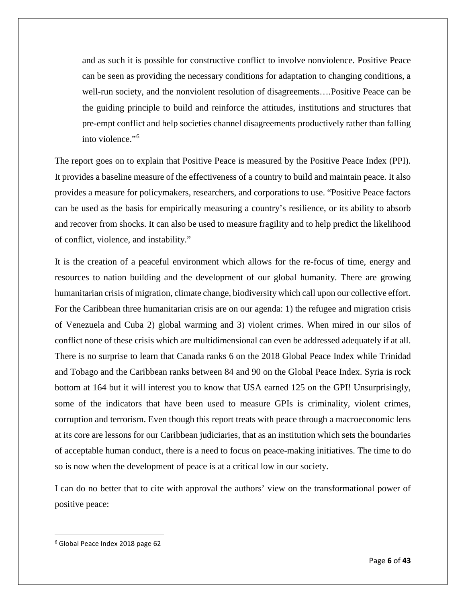and as such it is possible for constructive conflict to involve nonviolence. Positive Peace can be seen as providing the necessary conditions for adaptation to changing conditions, a well-run society, and the nonviolent resolution of disagreements….Positive Peace can be the guiding principle to build and reinforce the attitudes, institutions and structures that pre-empt conflict and help societies channel disagreements productively rather than falling into violence."[6](#page-5-0)

The report goes on to explain that Positive Peace is measured by the Positive Peace Index (PPI). It provides a baseline measure of the effectiveness of a country to build and maintain peace. It also provides a measure for policymakers, researchers, and corporations to use. "Positive Peace factors can be used as the basis for empirically measuring a country's resilience, or its ability to absorb and recover from shocks. It can also be used to measure fragility and to help predict the likelihood of conflict, violence, and instability."

It is the creation of a peaceful environment which allows for the re-focus of time, energy and resources to nation building and the development of our global humanity. There are growing humanitarian crisis of migration, climate change, biodiversity which call upon our collective effort. For the Caribbean three humanitarian crisis are on our agenda: 1) the refugee and migration crisis of Venezuela and Cuba 2) global warming and 3) violent crimes. When mired in our silos of conflict none of these crisis which are multidimensional can even be addressed adequately if at all. There is no surprise to learn that Canada ranks 6 on the 2018 Global Peace Index while Trinidad and Tobago and the Caribbean ranks between 84 and 90 on the Global Peace Index. Syria is rock bottom at 164 but it will interest you to know that USA earned 125 on the GPI! Unsurprisingly, some of the indicators that have been used to measure GPIs is criminality, violent crimes, corruption and terrorism. Even though this report treats with peace through a macroeconomic lens at its core are lessons for our Caribbean judiciaries, that as an institution which sets the boundaries of acceptable human conduct, there is a need to focus on peace-making initiatives. The time to do so is now when the development of peace is at a critical low in our society.

I can do no better that to cite with approval the authors' view on the transformational power of positive peace:

<span id="page-5-0"></span> <sup>6</sup> Global Peace Index 2018 page 62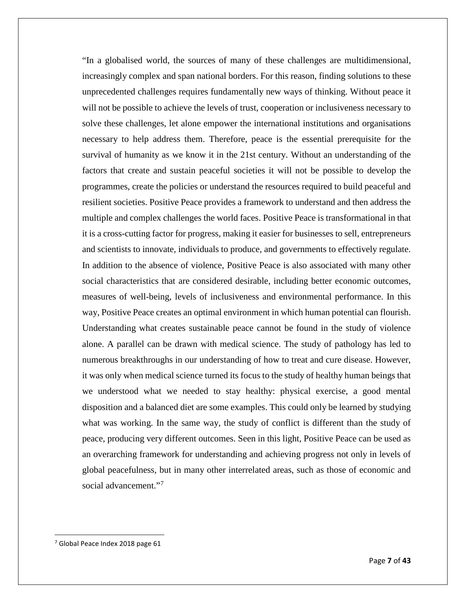"In a globalised world, the sources of many of these challenges are multidimensional, increasingly complex and span national borders. For this reason, finding solutions to these unprecedented challenges requires fundamentally new ways of thinking. Without peace it will not be possible to achieve the levels of trust, cooperation or inclusiveness necessary to solve these challenges, let alone empower the international institutions and organisations necessary to help address them. Therefore, peace is the essential prerequisite for the survival of humanity as we know it in the 21st century. Without an understanding of the factors that create and sustain peaceful societies it will not be possible to develop the programmes, create the policies or understand the resources required to build peaceful and resilient societies. Positive Peace provides a framework to understand and then address the multiple and complex challenges the world faces. Positive Peace is transformational in that it is a cross-cutting factor for progress, making it easier for businesses to sell, entrepreneurs and scientists to innovate, individuals to produce, and governments to effectively regulate. In addition to the absence of violence, Positive Peace is also associated with many other social characteristics that are considered desirable, including better economic outcomes, measures of well-being, levels of inclusiveness and environmental performance. In this way, Positive Peace creates an optimal environment in which human potential can flourish. Understanding what creates sustainable peace cannot be found in the study of violence alone. A parallel can be drawn with medical science. The study of pathology has led to numerous breakthroughs in our understanding of how to treat and cure disease. However, it was only when medical science turned its focus to the study of healthy human beings that we understood what we needed to stay healthy: physical exercise, a good mental disposition and a balanced diet are some examples. This could only be learned by studying what was working. In the same way, the study of conflict is different than the study of peace, producing very different outcomes. Seen in this light, Positive Peace can be used as an overarching framework for understanding and achieving progress not only in levels of global peacefulness, but in many other interrelated areas, such as those of economic and social advancement."<sup>[7](#page-6-0)</sup>

<span id="page-6-0"></span> <sup>7</sup> Global Peace Index 2018 page 61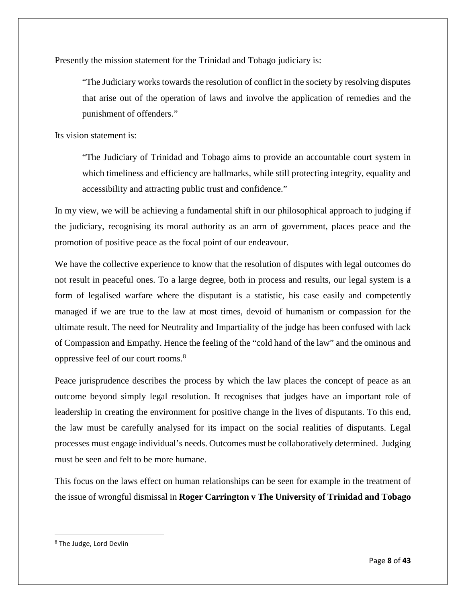Presently the mission statement for the Trinidad and Tobago judiciary is:

"The Judiciary works towards the resolution of conflict in the society by resolving disputes that arise out of the operation of laws and involve the application of remedies and the punishment of offenders."

Its vision statement is:

"The Judiciary of Trinidad and Tobago aims to provide an accountable court system in which timeliness and efficiency are hallmarks, while still protecting integrity, equality and accessibility and attracting public trust and confidence."

In my view, we will be achieving a fundamental shift in our philosophical approach to judging if the judiciary, recognising its moral authority as an arm of government, places peace and the promotion of positive peace as the focal point of our endeavour.

We have the collective experience to know that the resolution of disputes with legal outcomes do not result in peaceful ones. To a large degree, both in process and results, our legal system is a form of legalised warfare where the disputant is a statistic, his case easily and competently managed if we are true to the law at most times, devoid of humanism or compassion for the ultimate result. The need for Neutrality and Impartiality of the judge has been confused with lack of Compassion and Empathy. Hence the feeling of the "cold hand of the law" and the ominous and oppressive feel of our court rooms.[8](#page-7-0)

Peace jurisprudence describes the process by which the law places the concept of peace as an outcome beyond simply legal resolution. It recognises that judges have an important role of leadership in creating the environment for positive change in the lives of disputants. To this end, the law must be carefully analysed for its impact on the social realities of disputants. Legal processes must engage individual's needs. Outcomes must be collaboratively determined. Judging must be seen and felt to be more humane.

This focus on the laws effect on human relationships can be seen for example in the treatment of the issue of wrongful dismissal in **Roger Carrington v The University of Trinidad and Tobago**

<span id="page-7-0"></span> <sup>8</sup> The Judge, Lord Devlin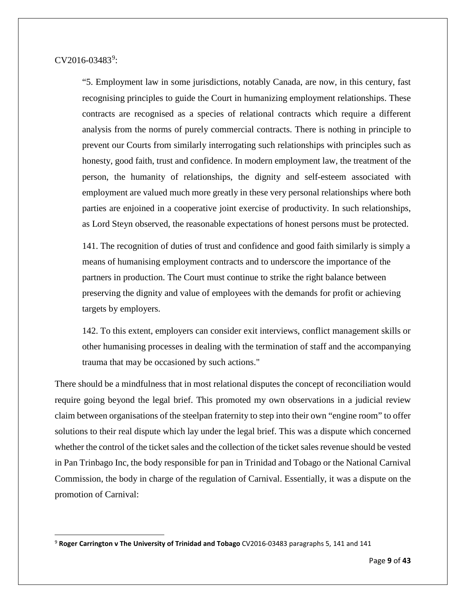$CV2016-03483^9$  $CV2016-03483^9$ :

"5. Employment law in some jurisdictions, notably Canada, are now, in this century, fast recognising principles to guide the Court in humanizing employment relationships. These contracts are recognised as a species of relational contracts which require a different analysis from the norms of purely commercial contracts. There is nothing in principle to prevent our Courts from similarly interrogating such relationships with principles such as honesty, good faith, trust and confidence. In modern employment law, the treatment of the person, the humanity of relationships, the dignity and self-esteem associated with employment are valued much more greatly in these very personal relationships where both parties are enjoined in a cooperative joint exercise of productivity. In such relationships, as Lord Steyn observed, the reasonable expectations of honest persons must be protected.

141. The recognition of duties of trust and confidence and good faith similarly is simply a means of humanising employment contracts and to underscore the importance of the partners in production. The Court must continue to strike the right balance between preserving the dignity and value of employees with the demands for profit or achieving targets by employers.

142. To this extent, employers can consider exit interviews, conflict management skills or other humanising processes in dealing with the termination of staff and the accompanying trauma that may be occasioned by such actions."

There should be a mindfulness that in most relational disputes the concept of reconciliation would require going beyond the legal brief. This promoted my own observations in a judicial review claim between organisations of the steelpan fraternity to step into their own "engine room" to offer solutions to their real dispute which lay under the legal brief. This was a dispute which concerned whether the control of the ticket sales and the collection of the ticket sales revenue should be vested in Pan Trinbago Inc, the body responsible for pan in Trinidad and Tobago or the National Carnival Commission, the body in charge of the regulation of Carnival. Essentially, it was a dispute on the promotion of Carnival:

<span id="page-8-0"></span> <sup>9</sup> **Roger Carrington v The University of Trinidad and Tobago** CV2016-03483 paragraphs 5, 141 and 141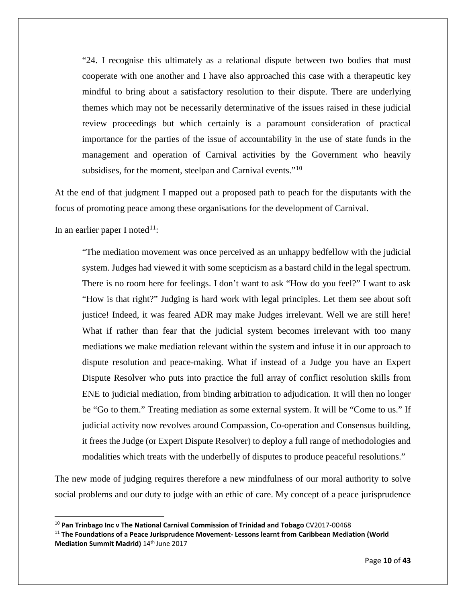"24. I recognise this ultimately as a relational dispute between two bodies that must cooperate with one another and I have also approached this case with a therapeutic key mindful to bring about a satisfactory resolution to their dispute. There are underlying themes which may not be necessarily determinative of the issues raised in these judicial review proceedings but which certainly is a paramount consideration of practical importance for the parties of the issue of accountability in the use of state funds in the management and operation of Carnival activities by the Government who heavily subsidises, for the moment, steelpan and Carnival events."<sup>[10](#page-9-0)</sup>

At the end of that judgment I mapped out a proposed path to peach for the disputants with the focus of promoting peace among these organisations for the development of Carnival.

In an earlier paper I noted<sup>11</sup>:

"The mediation movement was once perceived as an unhappy bedfellow with the judicial system. Judges had viewed it with some scepticism as a bastard child in the legal spectrum. There is no room here for feelings. I don't want to ask "How do you feel?" I want to ask "How is that right?" Judging is hard work with legal principles. Let them see about soft justice! Indeed, it was feared ADR may make Judges irrelevant. Well we are still here! What if rather than fear that the judicial system becomes irrelevant with too many mediations we make mediation relevant within the system and infuse it in our approach to dispute resolution and peace-making. What if instead of a Judge you have an Expert Dispute Resolver who puts into practice the full array of conflict resolution skills from ENE to judicial mediation, from binding arbitration to adjudication. It will then no longer be "Go to them." Treating mediation as some external system. It will be "Come to us." If judicial activity now revolves around Compassion, Co-operation and Consensus building, it frees the Judge (or Expert Dispute Resolver) to deploy a full range of methodologies and modalities which treats with the underbelly of disputes to produce peaceful resolutions."

The new mode of judging requires therefore a new mindfulness of our moral authority to solve social problems and our duty to judge with an ethic of care. My concept of a peace jurisprudence

<span id="page-9-0"></span> <sup>10</sup> **Pan Trinbago Inc v The National Carnival Commission of Trinidad and Tobago** CV2017-00468

<span id="page-9-1"></span><sup>11</sup> **The Foundations of a Peace Jurisprudence Movement- Lessons learnt from Caribbean Mediation (World Mediation Summit Madrid)** 14<sup>th</sup> June 2017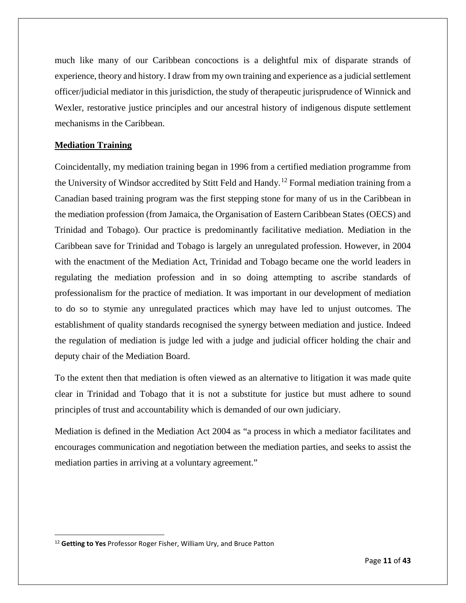much like many of our Caribbean concoctions is a delightful mix of disparate strands of experience, theory and history. I draw from my own training and experience as a judicial settlement officer/judicial mediator in this jurisdiction, the study of therapeutic jurisprudence of Winnick and Wexler, restorative justice principles and our ancestral history of indigenous dispute settlement mechanisms in the Caribbean.

#### **Mediation Training**

Coincidentally, my mediation training began in 1996 from a certified mediation programme from the University of Windsor accredited by Stitt Feld and Handy.[12](#page-10-0) Formal mediation training from a Canadian based training program was the first stepping stone for many of us in the Caribbean in the mediation profession (from Jamaica, the Organisation of Eastern Caribbean States (OECS) and Trinidad and Tobago). Our practice is predominantly facilitative mediation. Mediation in the Caribbean save for Trinidad and Tobago is largely an unregulated profession. However, in 2004 with the enactment of the Mediation Act, Trinidad and Tobago became one the world leaders in regulating the mediation profession and in so doing attempting to ascribe standards of professionalism for the practice of mediation. It was important in our development of mediation to do so to stymie any unregulated practices which may have led to unjust outcomes. The establishment of quality standards recognised the synergy between mediation and justice. Indeed the regulation of mediation is judge led with a judge and judicial officer holding the chair and deputy chair of the Mediation Board.

To the extent then that mediation is often viewed as an alternative to litigation it was made quite clear in Trinidad and Tobago that it is not a substitute for justice but must adhere to sound principles of trust and accountability which is demanded of our own judiciary.

Mediation is defined in the Mediation Act 2004 as "a process in which a mediator facilitates and encourages communication and negotiation between the mediation parties, and seeks to assist the mediation parties in arriving at a voluntary agreement."

<span id="page-10-0"></span> <sup>12</sup> **Getting to Yes** Professor Roger Fisher, William Ury, and Bruce Patton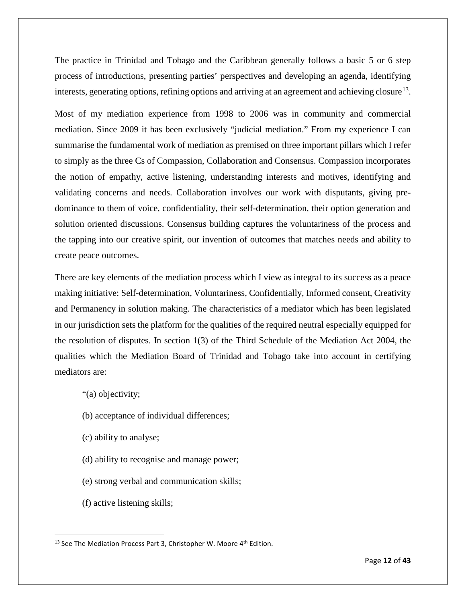The practice in Trinidad and Tobago and the Caribbean generally follows a basic 5 or 6 step process of introductions, presenting parties' perspectives and developing an agenda, identifying interests, generating options, refining options and arriving at an agreement and achieving closure<sup>[13](#page-11-0)</sup>.

Most of my mediation experience from 1998 to 2006 was in community and commercial mediation. Since 2009 it has been exclusively "judicial mediation." From my experience I can summarise the fundamental work of mediation as premised on three important pillars which I refer to simply as the three Cs of Compassion, Collaboration and Consensus. Compassion incorporates the notion of empathy, active listening, understanding interests and motives, identifying and validating concerns and needs. Collaboration involves our work with disputants, giving predominance to them of voice, confidentiality, their self-determination, their option generation and solution oriented discussions. Consensus building captures the voluntariness of the process and the tapping into our creative spirit, our invention of outcomes that matches needs and ability to create peace outcomes.

There are key elements of the mediation process which I view as integral to its success as a peace making initiative: Self-determination, Voluntariness, Confidentially, Informed consent, Creativity and Permanency in solution making. The characteristics of a mediator which has been legislated in our jurisdiction sets the platform for the qualities of the required neutral especially equipped for the resolution of disputes. In section 1(3) of the Third Schedule of the Mediation Act 2004, the qualities which the Mediation Board of Trinidad and Tobago take into account in certifying mediators are:

"(a) objectivity;

- (b) acceptance of individual differences;
- (c) ability to analyse;
- (d) ability to recognise and manage power;
- (e) strong verbal and communication skills;
- (f) active listening skills;

<span id="page-11-0"></span> $13$  See The Mediation Process Part 3, Christopher W. Moore  $4<sup>th</sup>$  Edition.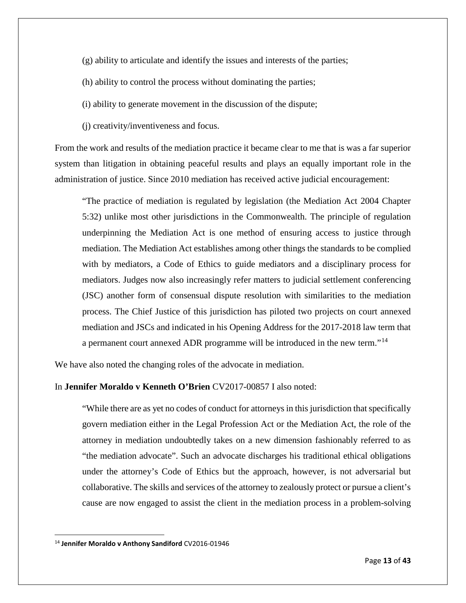(g) ability to articulate and identify the issues and interests of the parties;

- (h) ability to control the process without dominating the parties;
- (i) ability to generate movement in the discussion of the dispute;
- (j) creativity/inventiveness and focus.

From the work and results of the mediation practice it became clear to me that is was a far superior system than litigation in obtaining peaceful results and plays an equally important role in the administration of justice. Since 2010 mediation has received active judicial encouragement:

"The practice of mediation is regulated by legislation (the Mediation Act 2004 Chapter 5:32) unlike most other jurisdictions in the Commonwealth. The principle of regulation underpinning the Mediation Act is one method of ensuring access to justice through mediation. The Mediation Act establishes among other things the standards to be complied with by mediators, a Code of Ethics to guide mediators and a disciplinary process for mediators. Judges now also increasingly refer matters to judicial settlement conferencing (JSC) another form of consensual dispute resolution with similarities to the mediation process. The Chief Justice of this jurisdiction has piloted two projects on court annexed mediation and JSCs and indicated in his Opening Address for the 2017-2018 law term that a permanent court annexed ADR programme will be introduced in the new term."<sup>[14](#page-12-0)</sup>

We have also noted the changing roles of the advocate in mediation.

#### In **Jennifer Moraldo v Kenneth O'Brien** CV2017-00857 I also noted:

"While there are as yet no codes of conduct for attorneys in this jurisdiction that specifically govern mediation either in the Legal Profession Act or the Mediation Act, the role of the attorney in mediation undoubtedly takes on a new dimension fashionably referred to as "the mediation advocate". Such an advocate discharges his traditional ethical obligations under the attorney's Code of Ethics but the approach, however, is not adversarial but collaborative. The skills and services of the attorney to zealously protect or pursue a client's cause are now engaged to assist the client in the mediation process in a problem-solving

<span id="page-12-0"></span> <sup>14</sup> **Jennifer Moraldo v Anthony Sandiford** CV2016-01946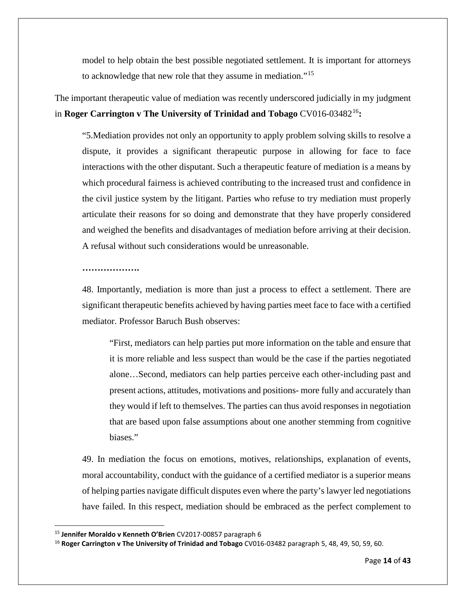model to help obtain the best possible negotiated settlement. It is important for attorneys to acknowledge that new role that they assume in mediation."<sup>[15](#page-13-0)</sup>

The important therapeutic value of mediation was recently underscored judicially in my judgment in **Roger Carrington v The University of Trinidad and Tobago CV0[16](#page-13-1)-03482<sup>16</sup>:** 

"5.Mediation provides not only an opportunity to apply problem solving skills to resolve a dispute, it provides a significant therapeutic purpose in allowing for face to face interactions with the other disputant. Such a therapeutic feature of mediation is a means by which procedural fairness is achieved contributing to the increased trust and confidence in the civil justice system by the litigant. Parties who refuse to try mediation must properly articulate their reasons for so doing and demonstrate that they have properly considered and weighed the benefits and disadvantages of mediation before arriving at their decision. A refusal without such considerations would be unreasonable.

**……………….**

48. Importantly, mediation is more than just a process to effect a settlement. There are significant therapeutic benefits achieved by having parties meet face to face with a certified mediator. Professor Baruch Bush observes:

"First, mediators can help parties put more information on the table and ensure that it is more reliable and less suspect than would be the case if the parties negotiated alone…Second, mediators can help parties perceive each other-including past and present actions, attitudes, motivations and positions- more fully and accurately than they would if left to themselves. The parties can thus avoid responses in negotiation that are based upon false assumptions about one another stemming from cognitive biases."

49. In mediation the focus on emotions, motives, relationships, explanation of events, moral accountability, conduct with the guidance of a certified mediator is a superior means of helping parties navigate difficult disputes even where the party's lawyer led negotiations have failed. In this respect, mediation should be embraced as the perfect complement to

<span id="page-13-0"></span> <sup>15</sup> **Jennifer Moraldo v Kenneth O'Brien** CV2017-00857 paragraph 6

<span id="page-13-1"></span><sup>16</sup> **Roger Carrington v The University of Trinidad and Tobago** CV016-03482 paragraph 5, 48, 49, 50, 59, 60.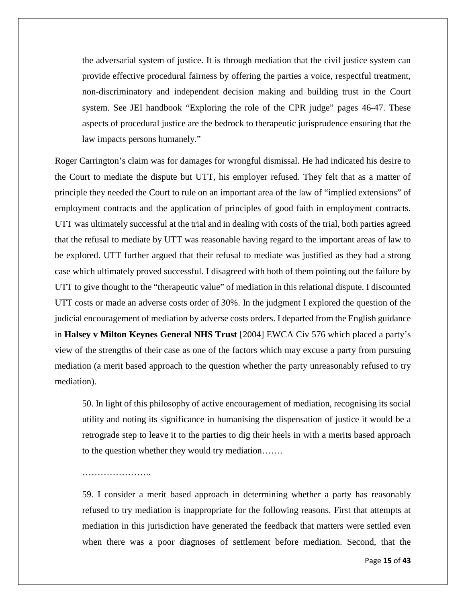the adversarial system of justice. It is through mediation that the civil justice system can provide effective procedural fairness by offering the parties a voice, respectful treatment, non-discriminatory and independent decision making and building trust in the Court system. See JEI handbook "Exploring the role of the CPR judge" pages 46-47. These aspects of procedural justice are the bedrock to therapeutic jurisprudence ensuring that the law impacts persons humanely."

Roger Carrington's claim was for damages for wrongful dismissal. He had indicated his desire to the Court to mediate the dispute but UTT, his employer refused. They felt that as a matter of principle they needed the Court to rule on an important area of the law of "implied extensions" of employment contracts and the application of principles of good faith in employment contracts. UTT was ultimately successful at the trial and in dealing with costs of the trial, both parties agreed that the refusal to mediate by UTT was reasonable having regard to the important areas of law to be explored. UTT further argued that their refusal to mediate was justified as they had a strong case which ultimately proved successful. I disagreed with both of them pointing out the failure by UTT to give thought to the "therapeutic value" of mediation in this relational dispute. I discounted UTT costs or made an adverse costs order of 30%. In the judgment I explored the question of the judicial encouragement of mediation by adverse costs orders. I departed from the English guidance in **Halsey v Milton Keynes General NHS Trust** [2004] EWCA Civ 576 which placed a party's view of the strengths of their case as one of the factors which may excuse a party from pursuing mediation (a merit based approach to the question whether the party unreasonably refused to try mediation).

50. In light of this philosophy of active encouragement of mediation, recognising its social utility and noting its significance in humanising the dispensation of justice it would be a retrograde step to leave it to the parties to dig their heels in with a merits based approach to the question whether they would try mediation…….

59. I consider a merit based approach in determining whether a party has reasonably refused to try mediation is inappropriate for the following reasons. First that attempts at mediation in this jurisdiction have generated the feedback that matters were settled even when there was a poor diagnoses of settlement before mediation. Second, that the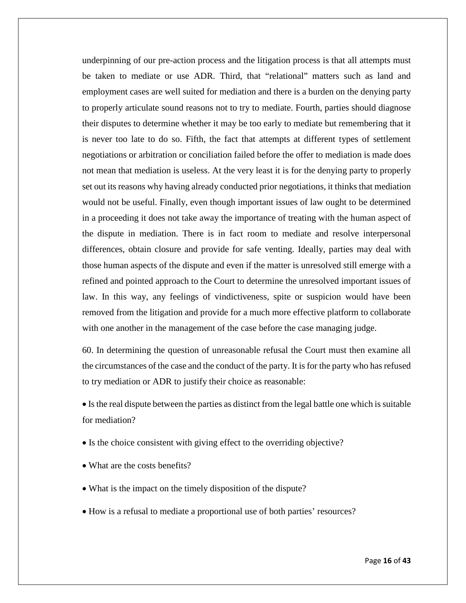underpinning of our pre-action process and the litigation process is that all attempts must be taken to mediate or use ADR. Third, that "relational" matters such as land and employment cases are well suited for mediation and there is a burden on the denying party to properly articulate sound reasons not to try to mediate. Fourth, parties should diagnose their disputes to determine whether it may be too early to mediate but remembering that it is never too late to do so. Fifth, the fact that attempts at different types of settlement negotiations or arbitration or conciliation failed before the offer to mediation is made does not mean that mediation is useless. At the very least it is for the denying party to properly set out its reasons why having already conducted prior negotiations, it thinks that mediation would not be useful. Finally, even though important issues of law ought to be determined in a proceeding it does not take away the importance of treating with the human aspect of the dispute in mediation. There is in fact room to mediate and resolve interpersonal differences, obtain closure and provide for safe venting. Ideally, parties may deal with those human aspects of the dispute and even if the matter is unresolved still emerge with a refined and pointed approach to the Court to determine the unresolved important issues of law. In this way, any feelings of vindictiveness, spite or suspicion would have been removed from the litigation and provide for a much more effective platform to collaborate with one another in the management of the case before the case managing judge.

60. In determining the question of unreasonable refusal the Court must then examine all the circumstances of the case and the conduct of the party. It is for the party who has refused to try mediation or ADR to justify their choice as reasonable:

• Is the real dispute between the parties as distinct from the legal battle one which is suitable for mediation?

- Is the choice consistent with giving effect to the overriding objective?
- What are the costs benefits?
- What is the impact on the timely disposition of the dispute?
- How is a refusal to mediate a proportional use of both parties' resources?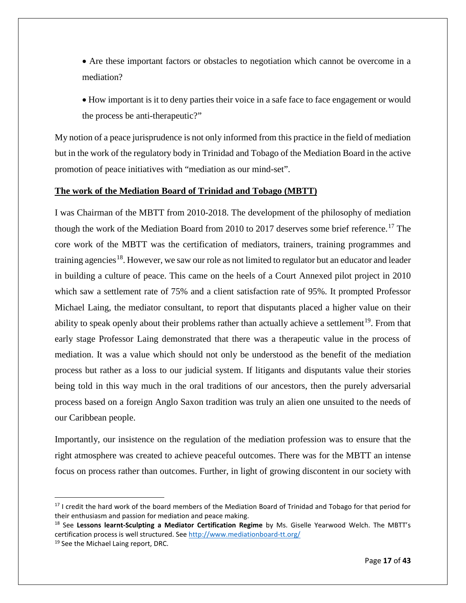- Are these important factors or obstacles to negotiation which cannot be overcome in a mediation?
- How important is it to deny parties their voice in a safe face to face engagement or would the process be anti-therapeutic?"

My notion of a peace jurisprudence is not only informed from this practice in the field of mediation but in the work of the regulatory body in Trinidad and Tobago of the Mediation Board in the active promotion of peace initiatives with "mediation as our mind-set".

#### **The work of the Mediation Board of Trinidad and Tobago (MBTT)**

I was Chairman of the MBTT from 2010-2018. The development of the philosophy of mediation though the work of the Mediation Board from 2010 to 20[17](#page-16-0) deserves some brief reference.<sup>17</sup> The core work of the MBTT was the certification of mediators, trainers, training programmes and training agencies<sup>18</sup>. However, we saw our role as not limited to regulator but an educator and leader in building a culture of peace. This came on the heels of a Court Annexed pilot project in 2010 which saw a settlement rate of 75% and a client satisfaction rate of 95%. It prompted Professor Michael Laing, the mediator consultant, to report that disputants placed a higher value on their ability to speak openly about their problems rather than actually achieve a settlement<sup>[19](#page-16-2)</sup>. From that early stage Professor Laing demonstrated that there was a therapeutic value in the process of mediation. It was a value which should not only be understood as the benefit of the mediation process but rather as a loss to our judicial system. If litigants and disputants value their stories being told in this way much in the oral traditions of our ancestors, then the purely adversarial process based on a foreign Anglo Saxon tradition was truly an alien one unsuited to the needs of our Caribbean people.

Importantly, our insistence on the regulation of the mediation profession was to ensure that the right atmosphere was created to achieve peaceful outcomes. There was for the MBTT an intense focus on process rather than outcomes. Further, in light of growing discontent in our society with

<span id="page-16-0"></span> $17$  I credit the hard work of the board members of the Mediation Board of Trinidad and Tobago for that period for their enthusiasm and passion for mediation and peace making.

<span id="page-16-1"></span><sup>18</sup> See **Lessons learnt-Sculpting a Mediator Certification Regime** by Ms. Giselle Yearwood Welch. The MBTT's certification process is well structured. See<http://www.mediationboard-tt.org/>

<span id="page-16-2"></span><sup>&</sup>lt;sup>19</sup> See the Michael Laing report, DRC.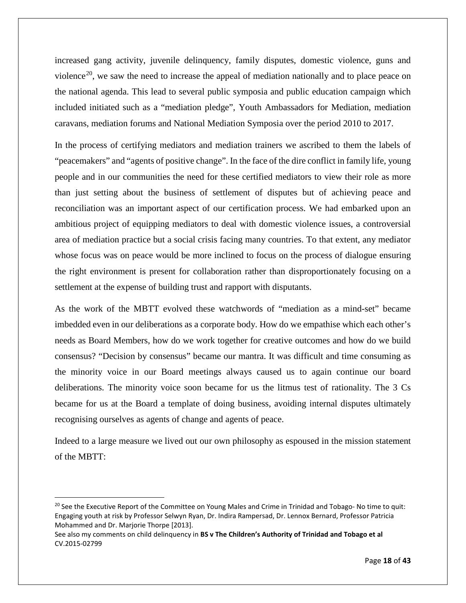increased gang activity, juvenile delinquency, family disputes, domestic violence, guns and violence<sup>[20](#page-17-0)</sup>, we saw the need to increase the appeal of mediation nationally and to place peace on the national agenda. This lead to several public symposia and public education campaign which included initiated such as a "mediation pledge", Youth Ambassadors for Mediation, mediation caravans, mediation forums and National Mediation Symposia over the period 2010 to 2017.

In the process of certifying mediators and mediation trainers we ascribed to them the labels of "peacemakers" and "agents of positive change". In the face of the dire conflict in family life, young people and in our communities the need for these certified mediators to view their role as more than just setting about the business of settlement of disputes but of achieving peace and reconciliation was an important aspect of our certification process. We had embarked upon an ambitious project of equipping mediators to deal with domestic violence issues, a controversial area of mediation practice but a social crisis facing many countries. To that extent, any mediator whose focus was on peace would be more inclined to focus on the process of dialogue ensuring the right environment is present for collaboration rather than disproportionately focusing on a settlement at the expense of building trust and rapport with disputants.

As the work of the MBTT evolved these watchwords of "mediation as a mind-set" became imbedded even in our deliberations as a corporate body. How do we empathise which each other's needs as Board Members, how do we work together for creative outcomes and how do we build consensus? "Decision by consensus" became our mantra. It was difficult and time consuming as the minority voice in our Board meetings always caused us to again continue our board deliberations. The minority voice soon became for us the litmus test of rationality. The 3 Cs became for us at the Board a template of doing business, avoiding internal disputes ultimately recognising ourselves as agents of change and agents of peace.

Indeed to a large measure we lived out our own philosophy as espoused in the mission statement of the MBTT:

<span id="page-17-0"></span><sup>&</sup>lt;sup>20</sup> See the Executive Report of the Committee on Young Males and Crime in Trinidad and Tobago- No time to quit: Engaging youth at risk by Professor Selwyn Ryan, Dr. Indira Rampersad, Dr. Lennox Bernard, Professor Patricia Mohammed and Dr. Marjorie Thorpe [2013].

See also my comments on child delinquency in **BS v The Children's Authority of Trinidad and Tobago et al** CV.2015-02799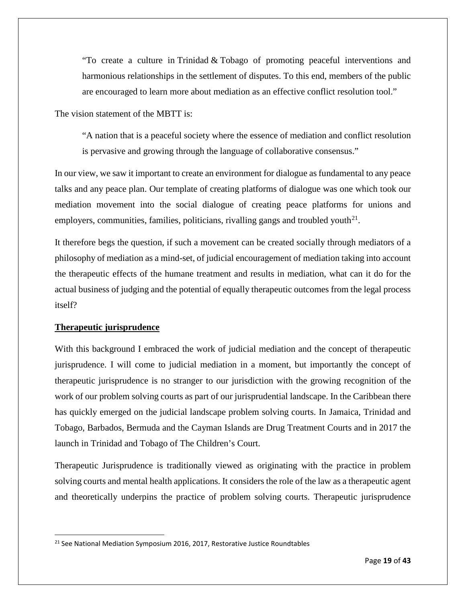"To create a culture in Trinidad & Tobago of promoting peaceful interventions and harmonious relationships in the settlement of disputes. To this end, members of the public are encouraged to learn more about mediation as an effective conflict resolution tool."

The vision statement of the MBTT is:

"A nation that is a peaceful society where the essence of mediation and conflict resolution is pervasive and growing through the language of collaborative consensus."

In our view, we saw it important to create an environment for dialogue as fundamental to any peace talks and any peace plan. Our template of creating platforms of dialogue was one which took our mediation movement into the social dialogue of creating peace platforms for unions and employers, communities, families, politicians, rivalling gangs and troubled youth $2^1$ .

It therefore begs the question, if such a movement can be created socially through mediators of a philosophy of mediation as a mind-set, of judicial encouragement of mediation taking into account the therapeutic effects of the humane treatment and results in mediation, what can it do for the actual business of judging and the potential of equally therapeutic outcomes from the legal process itself?

#### **Therapeutic jurisprudence**

With this background I embraced the work of judicial mediation and the concept of therapeutic jurisprudence. I will come to judicial mediation in a moment, but importantly the concept of therapeutic jurisprudence is no stranger to our jurisdiction with the growing recognition of the work of our problem solving courts as part of our jurisprudential landscape. In the Caribbean there has quickly emerged on the judicial landscape problem solving courts. In Jamaica, Trinidad and Tobago, Barbados, Bermuda and the Cayman Islands are Drug Treatment Courts and in 2017 the launch in Trinidad and Tobago of The Children's Court.

Therapeutic Jurisprudence is traditionally viewed as originating with the practice in problem solving courts and mental health applications. It considers the role of the law as a therapeutic agent and theoretically underpins the practice of problem solving courts. Therapeutic jurisprudence

<span id="page-18-0"></span> $21$  See National Mediation Symposium 2016, 2017, Restorative Justice Roundtables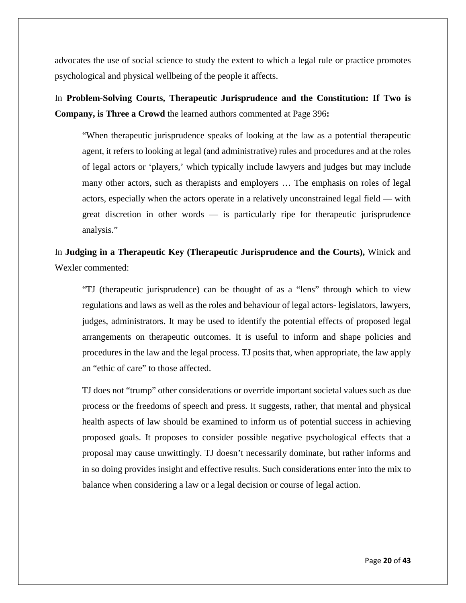advocates the use of social science to study the extent to which a legal rule or practice promotes psychological and physical wellbeing of the people it affects.

In **Problem-Solving Courts, Therapeutic Jurisprudence and the Constitution: If Two is Company, is Three a Crowd** the learned authors commented at Page 396**:**

"When therapeutic jurisprudence speaks of looking at the law as a potential therapeutic agent, it refers to looking at legal (and administrative) rules and procedures and at the roles of legal actors or 'players,' which typically include lawyers and judges but may include many other actors, such as therapists and employers … The emphasis on roles of legal actors, especially when the actors operate in a relatively unconstrained legal field — with great discretion in other words — is particularly ripe for therapeutic jurisprudence analysis."

In **Judging in a Therapeutic Key (Therapeutic Jurisprudence and the Courts),** Winick and Wexler commented:

"TJ (therapeutic jurisprudence) can be thought of as a "lens" through which to view regulations and laws as well as the roles and behaviour of legal actors- legislators, lawyers, judges, administrators. It may be used to identify the potential effects of proposed legal arrangements on therapeutic outcomes. It is useful to inform and shape policies and procedures in the law and the legal process. TJ posits that, when appropriate, the law apply an "ethic of care" to those affected.

TJ does not "trump" other considerations or override important societal values such as due process or the freedoms of speech and press. It suggests, rather, that mental and physical health aspects of law should be examined to inform us of potential success in achieving proposed goals. It proposes to consider possible negative psychological effects that a proposal may cause unwittingly. TJ doesn't necessarily dominate, but rather informs and in so doing provides insight and effective results. Such considerations enter into the mix to balance when considering a law or a legal decision or course of legal action.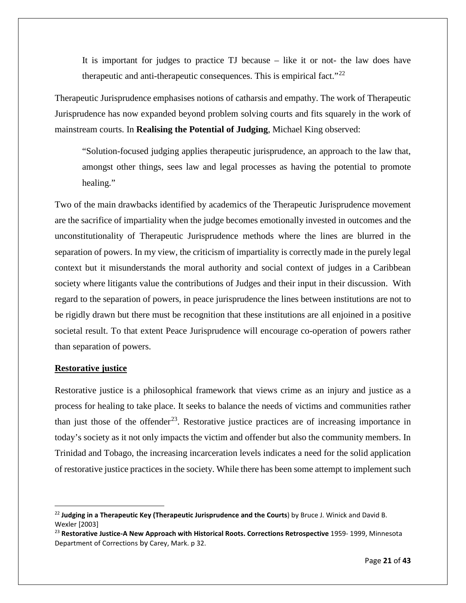It is important for judges to practice TJ because – like it or not- the law does have therapeutic and anti-therapeutic consequences. This is empirical fact."<sup>[22](#page-20-0)</sup>

Therapeutic Jurisprudence emphasises notions of catharsis and empathy. The work of Therapeutic Jurisprudence has now expanded beyond problem solving courts and fits squarely in the work of mainstream courts. In **Realising the Potential of Judging**, Michael King observed:

"Solution-focused judging applies therapeutic jurisprudence, an approach to the law that, amongst other things, sees law and legal processes as having the potential to promote healing."

Two of the main drawbacks identified by academics of the Therapeutic Jurisprudence movement are the sacrifice of impartiality when the judge becomes emotionally invested in outcomes and the unconstitutionality of Therapeutic Jurisprudence methods where the lines are blurred in the separation of powers. In my view, the criticism of impartiality is correctly made in the purely legal context but it misunderstands the moral authority and social context of judges in a Caribbean society where litigants value the contributions of Judges and their input in their discussion. With regard to the separation of powers, in peace jurisprudence the lines between institutions are not to be rigidly drawn but there must be recognition that these institutions are all enjoined in a positive societal result. To that extent Peace Jurisprudence will encourage co-operation of powers rather than separation of powers.

#### **Restorative justice**

Restorative justice is a philosophical framework that views crime as an injury and justice as a process for healing to take place. It seeks to balance the needs of victims and communities rather than just those of the offender<sup>[23](#page-20-1)</sup>. Restorative justice practices are of increasing importance in today's society as it not only impacts the victim and offender but also the community members. In Trinidad and Tobago, the increasing incarceration levels indicates a need for the solid application of restorative justice practices in the society. While there has been some attempt to implement such

<span id="page-20-0"></span> <sup>22</sup> **Judging in a Therapeutic Key (Therapeutic Jurisprudence and the Courts**) by Bruce J. Winick and David B. Wexler [2003]

<span id="page-20-1"></span><sup>23</sup> **Restorative Justice-A New Approach with Historical Roots. Corrections Retrospective** 1959- 1999, Minnesota Department of Corrections by Carey, Mark. p 32.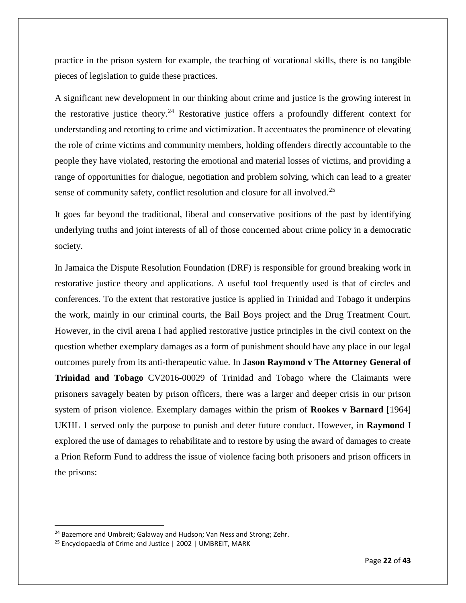practice in the prison system for example, the teaching of vocational skills, there is no tangible pieces of legislation to guide these practices.

A significant new development in our thinking about crime and justice is the growing interest in the restorative justice theory.<sup>[24](#page-21-0)</sup> Restorative justice offers a profoundly different context for understanding and retorting to crime and victimization. It accentuates the prominence of elevating the role of crime victims and community members, holding offenders directly accountable to the people they have violated, restoring the emotional and material losses of victims, and providing a range of opportunities for dialogue, negotiation and problem solving, which can lead to a greater sense of community safety, conflict resolution and closure for all involved.<sup>[25](#page-21-1)</sup>

It goes far beyond the traditional, liberal and conservative positions of the past by identifying underlying truths and joint interests of all of those concerned about crime policy in a democratic society.

In Jamaica the Dispute Resolution Foundation (DRF) is responsible for ground breaking work in restorative justice theory and applications. A useful tool frequently used is that of circles and conferences. To the extent that restorative justice is applied in Trinidad and Tobago it underpins the work, mainly in our criminal courts, the Bail Boys project and the Drug Treatment Court. However, in the civil arena I had applied restorative justice principles in the civil context on the question whether exemplary damages as a form of punishment should have any place in our legal outcomes purely from its anti-therapeutic value. In **Jason Raymond v The Attorney General of Trinidad and Tobago** CV2016-00029 of Trinidad and Tobago where the Claimants were prisoners savagely beaten by prison officers, there was a larger and deeper crisis in our prison system of prison violence. Exemplary damages within the prism of **Rookes v Barnard** [1964] UKHL 1 served only the purpose to punish and deter future conduct. However, in **Raymond** I explored the use of damages to rehabilitate and to restore by using the award of damages to create a Prion Reform Fund to address the issue of violence facing both prisoners and prison officers in the prisons:

<span id="page-21-0"></span><sup>&</sup>lt;sup>24</sup> Bazemore and Umbreit; Galaway and Hudson; Van Ness and Strong; Zehr.

<span id="page-21-1"></span><sup>&</sup>lt;sup>25</sup> Encyclopaedia of Crime and Justice | 2002 | UMBREIT, MARK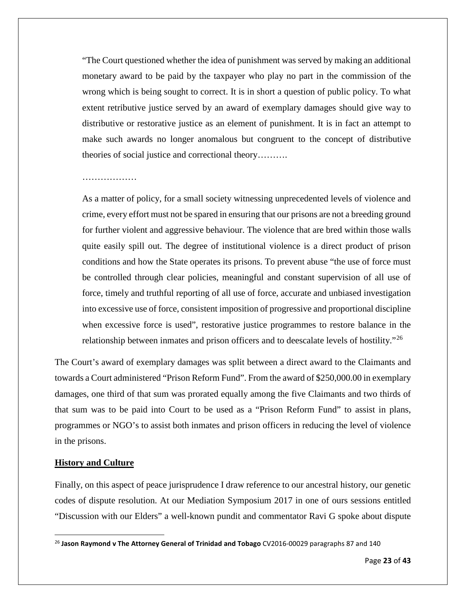"The Court questioned whether the idea of punishment was served by making an additional monetary award to be paid by the taxpayer who play no part in the commission of the wrong which is being sought to correct. It is in short a question of public policy. To what extent retributive justice served by an award of exemplary damages should give way to distributive or restorative justice as an element of punishment. It is in fact an attempt to make such awards no longer anomalous but congruent to the concept of distributive theories of social justice and correctional theory……….

#### ……………

As a matter of policy, for a small society witnessing unprecedented levels of violence and crime, every effort must not be spared in ensuring that our prisons are not a breeding ground for further violent and aggressive behaviour. The violence that are bred within those walls quite easily spill out. The degree of institutional violence is a direct product of prison conditions and how the State operates its prisons. To prevent abuse "the use of force must be controlled through clear policies, meaningful and constant supervision of all use of force, timely and truthful reporting of all use of force, accurate and unbiased investigation into excessive use of force, consistent imposition of progressive and proportional discipline when excessive force is used", restorative justice programmes to restore balance in the relationship between inmates and prison officers and to deescalate levels of hostility."<sup>[26](#page-22-0)</sup>

The Court's award of exemplary damages was split between a direct award to the Claimants and towards a Court administered "Prison Reform Fund". From the award of \$250,000.00 in exemplary damages, one third of that sum was prorated equally among the five Claimants and two thirds of that sum was to be paid into Court to be used as a "Prison Reform Fund" to assist in plans, programmes or NGO's to assist both inmates and prison officers in reducing the level of violence in the prisons.

#### **History and Culture**

Finally, on this aspect of peace jurisprudence I draw reference to our ancestral history, our genetic codes of dispute resolution. At our Mediation Symposium 2017 in one of ours sessions entitled "Discussion with our Elders" a well-known pundit and commentator Ravi G spoke about dispute

<span id="page-22-0"></span> <sup>26</sup> **Jason Raymond v The Attorney General of Trinidad and Tobago** CV2016-00029 paragraphs 87 and 140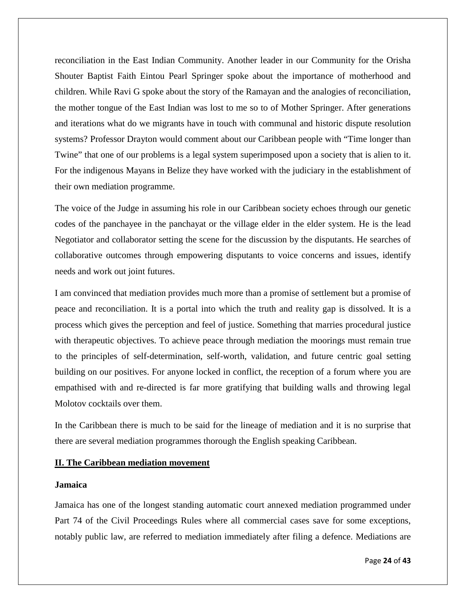reconciliation in the East Indian Community. Another leader in our Community for the Orisha Shouter Baptist Faith Eintou Pearl Springer spoke about the importance of motherhood and children. While Ravi G spoke about the story of the Ramayan and the analogies of reconciliation, the mother tongue of the East Indian was lost to me so to of Mother Springer. After generations and iterations what do we migrants have in touch with communal and historic dispute resolution systems? Professor Drayton would comment about our Caribbean people with "Time longer than Twine" that one of our problems is a legal system superimposed upon a society that is alien to it. For the indigenous Mayans in Belize they have worked with the judiciary in the establishment of their own mediation programme.

The voice of the Judge in assuming his role in our Caribbean society echoes through our genetic codes of the panchayee in the panchayat or the village elder in the elder system. He is the lead Negotiator and collaborator setting the scene for the discussion by the disputants. He searches of collaborative outcomes through empowering disputants to voice concerns and issues, identify needs and work out joint futures.

I am convinced that mediation provides much more than a promise of settlement but a promise of peace and reconciliation. It is a portal into which the truth and reality gap is dissolved. It is a process which gives the perception and feel of justice. Something that marries procedural justice with therapeutic objectives. To achieve peace through mediation the moorings must remain true to the principles of self-determination, self-worth, validation, and future centric goal setting building on our positives. For anyone locked in conflict, the reception of a forum where you are empathised with and re-directed is far more gratifying that building walls and throwing legal Molotov cocktails over them.

In the Caribbean there is much to be said for the lineage of mediation and it is no surprise that there are several mediation programmes thorough the English speaking Caribbean.

#### **II. The Caribbean mediation movement**

#### **Jamaica**

Jamaica has one of the longest standing automatic court annexed mediation programmed under Part 74 of the Civil Proceedings Rules where all commercial cases save for some exceptions, notably public law, are referred to mediation immediately after filing a defence. Mediations are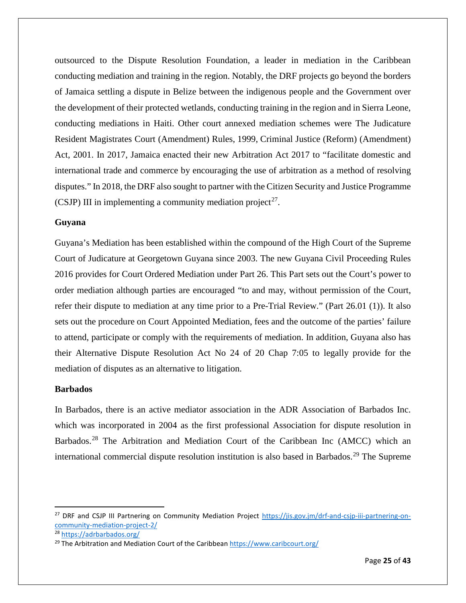outsourced to the Dispute Resolution Foundation, a leader in mediation in the Caribbean conducting mediation and training in the region. Notably, the DRF projects go beyond the borders of Jamaica settling a dispute in Belize between the indigenous people and the Government over the development of their protected wetlands, conducting training in the region and in Sierra Leone, conducting mediations in Haiti. Other court annexed mediation schemes were The Judicature Resident Magistrates Court (Amendment) Rules, 1999, Criminal Justice (Reform) (Amendment) Act, 2001. In 2017, Jamaica enacted their new Arbitration Act 2017 to "facilitate domestic and international trade and commerce by encouraging the use of arbitration as a method of resolving disputes." In 2018, the DRF also sought to partner with the Citizen Security and Justice Programme (CSJP) III in implementing a community mediation project<sup>[27](#page-24-0)</sup>.

#### **Guyana**

Guyana's Mediation has been established within the compound of the High Court of the Supreme Court of Judicature at Georgetown Guyana since 2003. The new Guyana Civil Proceeding Rules 2016 provides for Court Ordered Mediation under Part 26. This Part sets out the Court's power to order mediation although parties are encouraged "to and may, without permission of the Court, refer their dispute to mediation at any time prior to a Pre-Trial Review." (Part 26.01 (1)). It also sets out the procedure on Court Appointed Mediation, fees and the outcome of the parties' failure to attend, participate or comply with the requirements of mediation. In addition, Guyana also has their Alternative Dispute Resolution Act No 24 of 20 Chap 7:05 to legally provide for the mediation of disputes as an alternative to litigation.

#### **Barbados**

In Barbados, there is an active mediator association in the ADR Association of Barbados Inc. which was incorporated in 2004 as the first professional Association for dispute resolution in Barbados.<sup>[28](#page-24-1)</sup> The Arbitration and Mediation Court of the Caribbean Inc (AMCC) which an international commercial dispute resolution institution is also based in Barbados.<sup>[29](#page-24-2)</sup> The Supreme

<span id="page-24-0"></span> <sup>27</sup> DRF and CSJP III Partnering on Community Mediation Project [https://jis.gov.jm/drf-and-csjp-iii-partnering-on](https://jis.gov.jm/drf-and-csjp-iii-partnering-on-community-mediation-project-2/)[community-mediation-project-2/](https://jis.gov.jm/drf-and-csjp-iii-partnering-on-community-mediation-project-2/)

<span id="page-24-1"></span><sup>28</sup> <https://adrbarbados.org/>

<span id="page-24-2"></span><sup>&</sup>lt;sup>29</sup> The Arbitration and Mediation Court of the Caribbean<https://www.caribcourt.org/>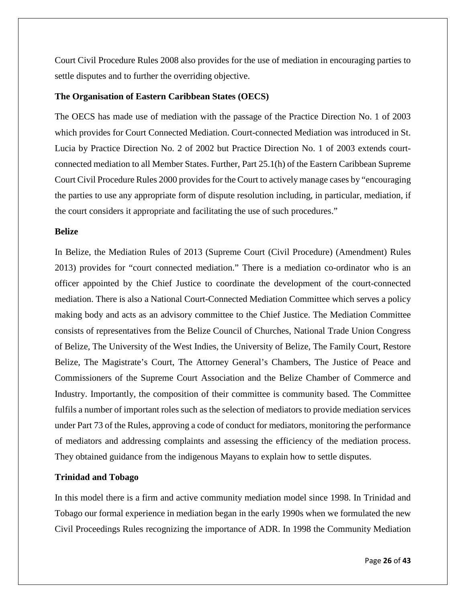Court Civil Procedure Rules 2008 also provides for the use of mediation in encouraging parties to settle disputes and to further the overriding objective.

#### **The Organisation of Eastern Caribbean States (OECS)**

The OECS has made use of mediation with the passage of the Practice Direction No. 1 of 2003 which provides for Court Connected Mediation. Court-connected Mediation was introduced in St. Lucia by Practice Direction No. 2 of 2002 but Practice Direction No. 1 of 2003 extends courtconnected mediation to all Member States. Further, Part 25.1(h) of the Eastern Caribbean Supreme Court Civil Procedure Rules 2000 provides for the Court to actively manage cases by "encouraging the parties to use any appropriate form of dispute resolution including, in particular, mediation, if the court considers it appropriate and facilitating the use of such procedures."

#### **Belize**

In Belize, the Mediation Rules of 2013 (Supreme Court (Civil Procedure) (Amendment) Rules 2013) provides for "court connected mediation." There is a mediation co-ordinator who is an officer appointed by the Chief Justice to coordinate the development of the court-connected mediation. There is also a National Court-Connected Mediation Committee which serves a policy making body and acts as an advisory committee to the Chief Justice. The Mediation Committee consists of representatives from the Belize Council of Churches, National Trade Union Congress of Belize, The University of the West Indies, the University of Belize, The Family Court, Restore Belize, The Magistrate's Court, The Attorney General's Chambers, The Justice of Peace and Commissioners of the Supreme Court Association and the Belize Chamber of Commerce and Industry. Importantly, the composition of their committee is community based. The Committee fulfils a number of important roles such as the selection of mediators to provide mediation services under Part 73 of the Rules, approving a code of conduct for mediators, monitoring the performance of mediators and addressing complaints and assessing the efficiency of the mediation process. They obtained guidance from the indigenous Mayans to explain how to settle disputes.

#### **Trinidad and Tobago**

In this model there is a firm and active community mediation model since 1998. In Trinidad and Tobago our formal experience in mediation began in the early 1990s when we formulated the new Civil Proceedings Rules recognizing the importance of ADR. In 1998 the Community Mediation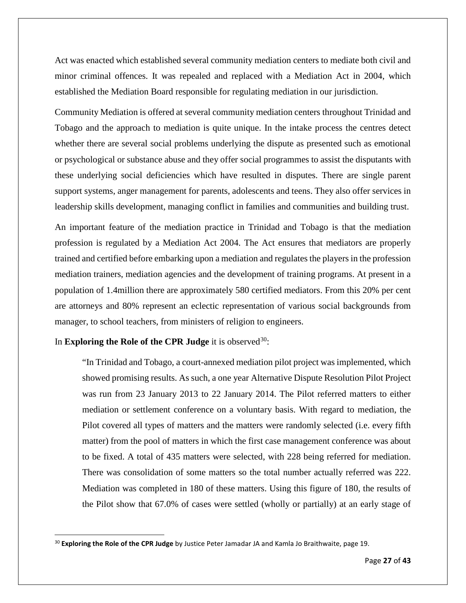Act was enacted which established several community mediation centers to mediate both civil and minor criminal offences. It was repealed and replaced with a Mediation Act in 2004, which established the Mediation Board responsible for regulating mediation in our jurisdiction.

Community Mediation is offered at several community mediation centers throughout Trinidad and Tobago and the approach to mediation is quite unique. In the intake process the centres detect whether there are several social problems underlying the dispute as presented such as emotional or psychological or substance abuse and they offer social programmes to assist the disputants with these underlying social deficiencies which have resulted in disputes. There are single parent support systems, anger management for parents, adolescents and teens. They also offer services in leadership skills development, managing conflict in families and communities and building trust.

An important feature of the mediation practice in Trinidad and Tobago is that the mediation profession is regulated by a Mediation Act 2004. The Act ensures that mediators are properly trained and certified before embarking upon a mediation and regulates the players in the profession mediation trainers, mediation agencies and the development of training programs. At present in a population of 1.4million there are approximately 580 certified mediators. From this 20% per cent are attorneys and 80% represent an eclectic representation of various social backgrounds from manager, to school teachers, from ministers of religion to engineers.

#### In **Exploring the Role of the CPR Judge** it is observed<sup>30</sup>:

"In Trinidad and Tobago, a court-annexed mediation pilot project was implemented, which showed promising results. As such, a one year Alternative Dispute Resolution Pilot Project was run from 23 January 2013 to 22 January 2014. The Pilot referred matters to either mediation or settlement conference on a voluntary basis. With regard to mediation, the Pilot covered all types of matters and the matters were randomly selected (i.e. every fifth matter) from the pool of matters in which the first case management conference was about to be fixed. A total of 435 matters were selected, with 228 being referred for mediation. There was consolidation of some matters so the total number actually referred was 222. Mediation was completed in 180 of these matters. Using this figure of 180, the results of the Pilot show that 67.0% of cases were settled (wholly or partially) at an early stage of

<span id="page-26-0"></span> <sup>30</sup> **Exploring the Role of the CPR Judge** by Justice Peter Jamadar JA and Kamla Jo Braithwaite, page 19.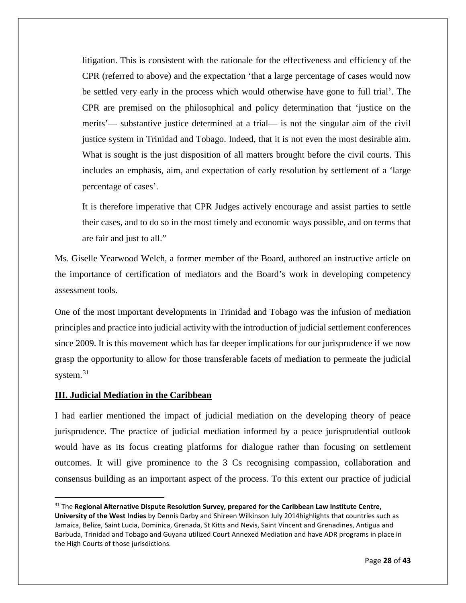litigation. This is consistent with the rationale for the effectiveness and efficiency of the CPR (referred to above) and the expectation 'that a large percentage of cases would now be settled very early in the process which would otherwise have gone to full trial'. The CPR are premised on the philosophical and policy determination that 'justice on the merits'— substantive justice determined at a trial— is not the singular aim of the civil justice system in Trinidad and Tobago. Indeed, that it is not even the most desirable aim. What is sought is the just disposition of all matters brought before the civil courts. This includes an emphasis, aim, and expectation of early resolution by settlement of a 'large percentage of cases'.

It is therefore imperative that CPR Judges actively encourage and assist parties to settle their cases, and to do so in the most timely and economic ways possible, and on terms that are fair and just to all."

Ms. Giselle Yearwood Welch, a former member of the Board, authored an instructive article on the importance of certification of mediators and the Board's work in developing competency assessment tools.

One of the most important developments in Trinidad and Tobago was the infusion of mediation principles and practice into judicial activity with the introduction of judicial settlement conferences since 2009. It is this movement which has far deeper implications for our jurisprudence if we now grasp the opportunity to allow for those transferable facets of mediation to permeate the judicial system.<sup>[31](#page-27-0)</sup>

#### **III. Judicial Mediation in the Caribbean**

I had earlier mentioned the impact of judicial mediation on the developing theory of peace jurisprudence. The practice of judicial mediation informed by a peace jurisprudential outlook would have as its focus creating platforms for dialogue rather than focusing on settlement outcomes. It will give prominence to the 3 Cs recognising compassion, collaboration and consensus building as an important aspect of the process. To this extent our practice of judicial

<span id="page-27-0"></span> <sup>31</sup> The **Regional Alternative Dispute Resolution Survey, prepared for the Caribbean Law Institute Centre, University of the West Indies** by Dennis Darby and Shireen Wilkinson July 2014highlights that countries such as Jamaica, Belize, Saint Lucia, Dominica, Grenada, St Kitts and Nevis, Saint Vincent and Grenadines, Antigua and Barbuda, Trinidad and Tobago and Guyana utilized Court Annexed Mediation and have ADR programs in place in the High Courts of those jurisdictions.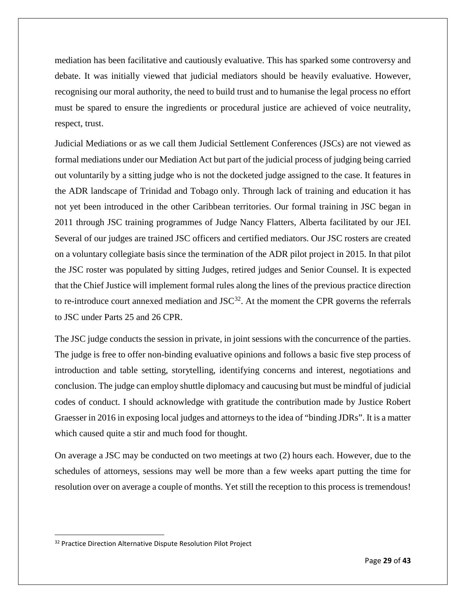mediation has been facilitative and cautiously evaluative. This has sparked some controversy and debate. It was initially viewed that judicial mediators should be heavily evaluative. However, recognising our moral authority, the need to build trust and to humanise the legal process no effort must be spared to ensure the ingredients or procedural justice are achieved of voice neutrality, respect, trust.

Judicial Mediations or as we call them Judicial Settlement Conferences (JSCs) are not viewed as formal mediations under our Mediation Act but part of the judicial process of judging being carried out voluntarily by a sitting judge who is not the docketed judge assigned to the case. It features in the ADR landscape of Trinidad and Tobago only. Through lack of training and education it has not yet been introduced in the other Caribbean territories. Our formal training in JSC began in 2011 through JSC training programmes of Judge Nancy Flatters, Alberta facilitated by our JEI. Several of our judges are trained JSC officers and certified mediators. Our JSC rosters are created on a voluntary collegiate basis since the termination of the ADR pilot project in 2015. In that pilot the JSC roster was populated by sitting Judges, retired judges and Senior Counsel. It is expected that the Chief Justice will implement formal rules along the lines of the previous practice direction to re-introduce court annexed mediation and  $JSC^{32}$ . At the moment the CPR governs the referrals to JSC under Parts 25 and 26 CPR.

The JSC judge conducts the session in private, in joint sessions with the concurrence of the parties. The judge is free to offer non-binding evaluative opinions and follows a basic five step process of introduction and table setting, storytelling, identifying concerns and interest, negotiations and conclusion. The judge can employ shuttle diplomacy and caucusing but must be mindful of judicial codes of conduct. I should acknowledge with gratitude the contribution made by Justice Robert Graesser in 2016 in exposing local judges and attorneys to the idea of "binding JDRs". It is a matter which caused quite a stir and much food for thought.

On average a JSC may be conducted on two meetings at two (2) hours each. However, due to the schedules of attorneys, sessions may well be more than a few weeks apart putting the time for resolution over on average a couple of months. Yet still the reception to this process is tremendous!

<span id="page-28-0"></span><sup>&</sup>lt;sup>32</sup> Practice Direction Alternative Dispute Resolution Pilot Project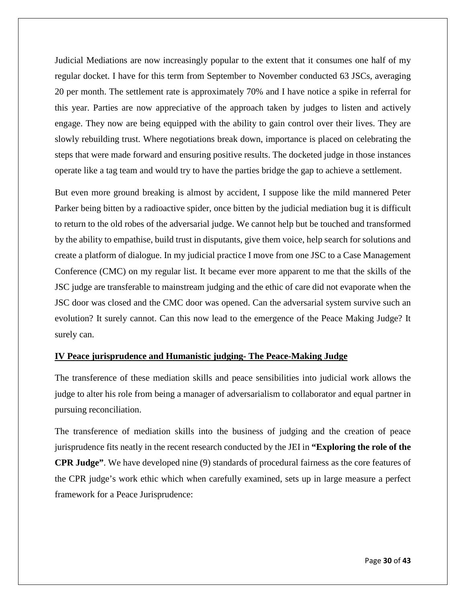Judicial Mediations are now increasingly popular to the extent that it consumes one half of my regular docket. I have for this term from September to November conducted 63 JSCs, averaging 20 per month. The settlement rate is approximately 70% and I have notice a spike in referral for this year. Parties are now appreciative of the approach taken by judges to listen and actively engage. They now are being equipped with the ability to gain control over their lives. They are slowly rebuilding trust. Where negotiations break down, importance is placed on celebrating the steps that were made forward and ensuring positive results. The docketed judge in those instances operate like a tag team and would try to have the parties bridge the gap to achieve a settlement.

But even more ground breaking is almost by accident, I suppose like the mild mannered Peter Parker being bitten by a radioactive spider, once bitten by the judicial mediation bug it is difficult to return to the old robes of the adversarial judge. We cannot help but be touched and transformed by the ability to empathise, build trust in disputants, give them voice, help search for solutions and create a platform of dialogue. In my judicial practice I move from one JSC to a Case Management Conference (CMC) on my regular list. It became ever more apparent to me that the skills of the JSC judge are transferable to mainstream judging and the ethic of care did not evaporate when the JSC door was closed and the CMC door was opened. Can the adversarial system survive such an evolution? It surely cannot. Can this now lead to the emergence of the Peace Making Judge? It surely can.

#### **IV Peace jurisprudence and Humanistic judging- The Peace-Making Judge**

The transference of these mediation skills and peace sensibilities into judicial work allows the judge to alter his role from being a manager of adversarialism to collaborator and equal partner in pursuing reconciliation.

The transference of mediation skills into the business of judging and the creation of peace jurisprudence fits neatly in the recent research conducted by the JEI in **"Exploring the role of the CPR Judge"**. We have developed nine (9) standards of procedural fairness as the core features of the CPR judge's work ethic which when carefully examined, sets up in large measure a perfect framework for a Peace Jurisprudence: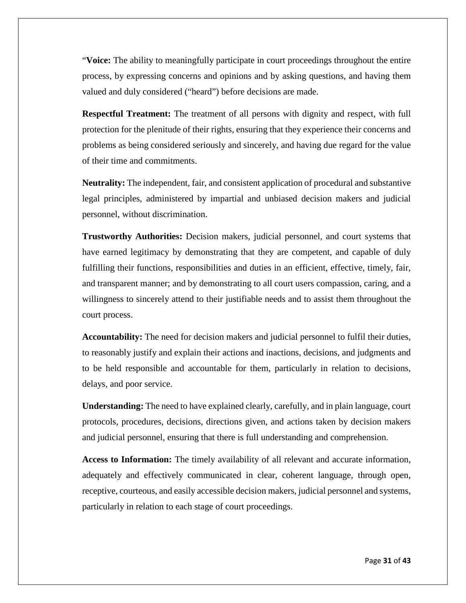"**Voice:** The ability to meaningfully participate in court proceedings throughout the entire process, by expressing concerns and opinions and by asking questions, and having them valued and duly considered ("heard") before decisions are made.

**Respectful Treatment:** The treatment of all persons with dignity and respect, with full protection for the plenitude of their rights, ensuring that they experience their concerns and problems as being considered seriously and sincerely, and having due regard for the value of their time and commitments.

**Neutrality:** The independent, fair, and consistent application of procedural and substantive legal principles, administered by impartial and unbiased decision makers and judicial personnel, without discrimination.

**Trustworthy Authorities:** Decision makers, judicial personnel, and court systems that have earned legitimacy by demonstrating that they are competent, and capable of duly fulfilling their functions, responsibilities and duties in an efficient, effective, timely, fair, and transparent manner; and by demonstrating to all court users compassion, caring, and a willingness to sincerely attend to their justifiable needs and to assist them throughout the court process.

**Accountability:** The need for decision makers and judicial personnel to fulfil their duties, to reasonably justify and explain their actions and inactions, decisions, and judgments and to be held responsible and accountable for them, particularly in relation to decisions, delays, and poor service.

**Understanding:** The need to have explained clearly, carefully, and in plain language, court protocols, procedures, decisions, directions given, and actions taken by decision makers and judicial personnel, ensuring that there is full understanding and comprehension.

**Access to Information:** The timely availability of all relevant and accurate information, adequately and effectively communicated in clear, coherent language, through open, receptive, courteous, and easily accessible decision makers, judicial personnel and systems, particularly in relation to each stage of court proceedings.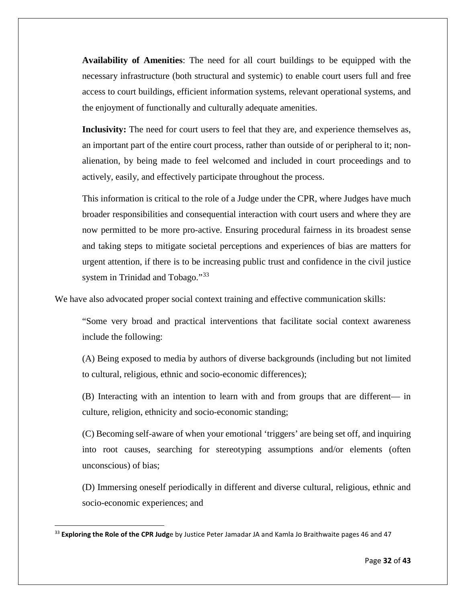**Availability of Amenities**: The need for all court buildings to be equipped with the necessary infrastructure (both structural and systemic) to enable court users full and free access to court buildings, efficient information systems, relevant operational systems, and the enjoyment of functionally and culturally adequate amenities.

**Inclusivity:** The need for court users to feel that they are, and experience themselves as, an important part of the entire court process, rather than outside of or peripheral to it; nonalienation, by being made to feel welcomed and included in court proceedings and to actively, easily, and effectively participate throughout the process.

This information is critical to the role of a Judge under the CPR, where Judges have much broader responsibilities and consequential interaction with court users and where they are now permitted to be more pro-active. Ensuring procedural fairness in its broadest sense and taking steps to mitigate societal perceptions and experiences of bias are matters for urgent attention, if there is to be increasing public trust and confidence in the civil justice system in Trinidad and Tobago."<sup>[33](#page-31-0)</sup>

We have also advocated proper social context training and effective communication skills:

"Some very broad and practical interventions that facilitate social context awareness include the following:

(A) Being exposed to media by authors of diverse backgrounds (including but not limited to cultural, religious, ethnic and socio-economic differences);

(B) Interacting with an intention to learn with and from groups that are different— in culture, religion, ethnicity and socio-economic standing;

(C) Becoming self-aware of when your emotional 'triggers' are being set off, and inquiring into root causes, searching for stereotyping assumptions and/or elements (often unconscious) of bias;

(D) Immersing oneself periodically in different and diverse cultural, religious, ethnic and socio-economic experiences; and

<span id="page-31-0"></span> <sup>33</sup> **Exploring the Role of the CPR Judg**e by Justice Peter Jamadar JA and Kamla Jo Braithwaite pages 46 and 47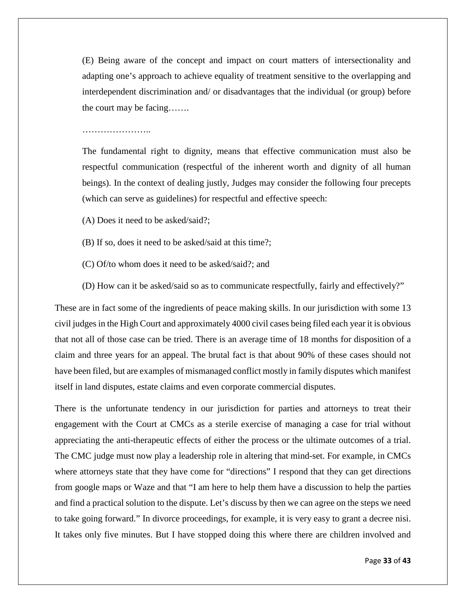(E) Being aware of the concept and impact on court matters of intersectionality and adapting one's approach to achieve equality of treatment sensitive to the overlapping and interdependent discrimination and/ or disadvantages that the individual (or group) before the court may be facing…….

……………………

The fundamental right to dignity, means that effective communication must also be respectful communication (respectful of the inherent worth and dignity of all human beings). In the context of dealing justly, Judges may consider the following four precepts (which can serve as guidelines) for respectful and effective speech:

- (A) Does it need to be asked/said?;
- (B) If so, does it need to be asked/said at this time?;
- (C) Of/to whom does it need to be asked/said?; and
- (D) How can it be asked/said so as to communicate respectfully, fairly and effectively?"

These are in fact some of the ingredients of peace making skills. In our jurisdiction with some 13 civil judges in the High Court and approximately 4000 civil cases being filed each year it is obvious that not all of those case can be tried. There is an average time of 18 months for disposition of a claim and three years for an appeal. The brutal fact is that about 90% of these cases should not have been filed, but are examples of mismanaged conflict mostly in family disputes which manifest itself in land disputes, estate claims and even corporate commercial disputes.

There is the unfortunate tendency in our jurisdiction for parties and attorneys to treat their engagement with the Court at CMCs as a sterile exercise of managing a case for trial without appreciating the anti-therapeutic effects of either the process or the ultimate outcomes of a trial. The CMC judge must now play a leadership role in altering that mind-set. For example, in CMCs where attorneys state that they have come for "directions" I respond that they can get directions from google maps or Waze and that "I am here to help them have a discussion to help the parties and find a practical solution to the dispute. Let's discuss by then we can agree on the steps we need to take going forward." In divorce proceedings, for example, it is very easy to grant a decree nisi. It takes only five minutes. But I have stopped doing this where there are children involved and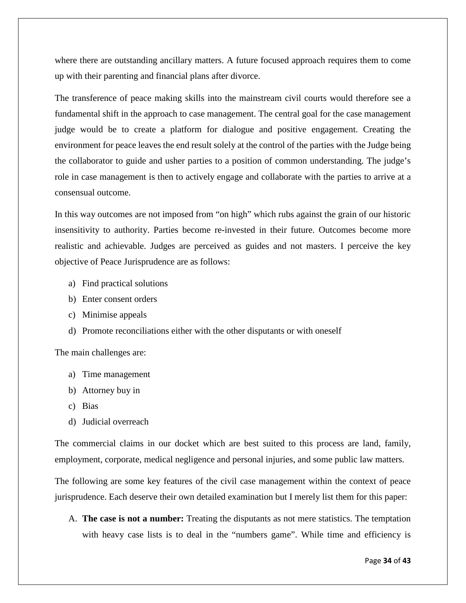where there are outstanding ancillary matters. A future focused approach requires them to come up with their parenting and financial plans after divorce.

The transference of peace making skills into the mainstream civil courts would therefore see a fundamental shift in the approach to case management. The central goal for the case management judge would be to create a platform for dialogue and positive engagement. Creating the environment for peace leaves the end result solely at the control of the parties with the Judge being the collaborator to guide and usher parties to a position of common understanding. The judge's role in case management is then to actively engage and collaborate with the parties to arrive at a consensual outcome.

In this way outcomes are not imposed from "on high" which rubs against the grain of our historic insensitivity to authority. Parties become re-invested in their future. Outcomes become more realistic and achievable. Judges are perceived as guides and not masters. I perceive the key objective of Peace Jurisprudence are as follows:

- a) Find practical solutions
- b) Enter consent orders
- c) Minimise appeals
- d) Promote reconciliations either with the other disputants or with oneself

The main challenges are:

- a) Time management
- b) Attorney buy in
- c) Bias
- d) Judicial overreach

The commercial claims in our docket which are best suited to this process are land, family, employment, corporate, medical negligence and personal injuries, and some public law matters.

The following are some key features of the civil case management within the context of peace jurisprudence. Each deserve their own detailed examination but I merely list them for this paper:

A. **The case is not a number:** Treating the disputants as not mere statistics. The temptation with heavy case lists is to deal in the "numbers game". While time and efficiency is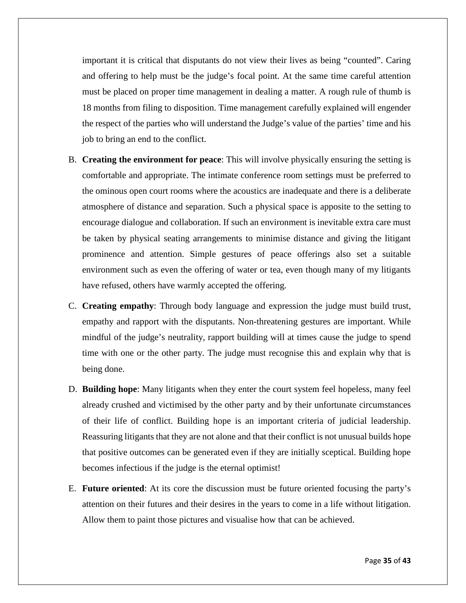important it is critical that disputants do not view their lives as being "counted". Caring and offering to help must be the judge's focal point. At the same time careful attention must be placed on proper time management in dealing a matter. A rough rule of thumb is 18 months from filing to disposition. Time management carefully explained will engender the respect of the parties who will understand the Judge's value of the parties' time and his job to bring an end to the conflict.

- B. **Creating the environment for peace**: This will involve physically ensuring the setting is comfortable and appropriate. The intimate conference room settings must be preferred to the ominous open court rooms where the acoustics are inadequate and there is a deliberate atmosphere of distance and separation. Such a physical space is apposite to the setting to encourage dialogue and collaboration. If such an environment is inevitable extra care must be taken by physical seating arrangements to minimise distance and giving the litigant prominence and attention. Simple gestures of peace offerings also set a suitable environment such as even the offering of water or tea, even though many of my litigants have refused, others have warmly accepted the offering.
- C. **Creating empathy**: Through body language and expression the judge must build trust, empathy and rapport with the disputants. Non-threatening gestures are important. While mindful of the judge's neutrality, rapport building will at times cause the judge to spend time with one or the other party. The judge must recognise this and explain why that is being done.
- D. **Building hope**: Many litigants when they enter the court system feel hopeless, many feel already crushed and victimised by the other party and by their unfortunate circumstances of their life of conflict. Building hope is an important criteria of judicial leadership. Reassuring litigants that they are not alone and that their conflict is not unusual builds hope that positive outcomes can be generated even if they are initially sceptical. Building hope becomes infectious if the judge is the eternal optimist!
- E. **Future oriented**: At its core the discussion must be future oriented focusing the party's attention on their futures and their desires in the years to come in a life without litigation. Allow them to paint those pictures and visualise how that can be achieved.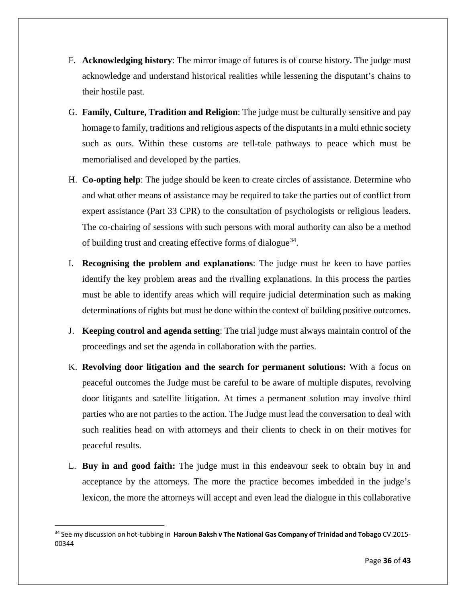- F. **Acknowledging history**: The mirror image of futures is of course history. The judge must acknowledge and understand historical realities while lessening the disputant's chains to their hostile past.
- G. **Family, Culture, Tradition and Religion**: The judge must be culturally sensitive and pay homage to family, traditions and religious aspects of the disputants in a multi ethnic society such as ours. Within these customs are tell-tale pathways to peace which must be memorialised and developed by the parties.
- H. **Co-opting help**: The judge should be keen to create circles of assistance. Determine who and what other means of assistance may be required to take the parties out of conflict from expert assistance (Part 33 CPR) to the consultation of psychologists or religious leaders. The co-chairing of sessions with such persons with moral authority can also be a method of building trust and creating effective forms of dialogue<sup>[34](#page-35-0)</sup>.
- I. **Recognising the problem and explanations**: The judge must be keen to have parties identify the key problem areas and the rivalling explanations. In this process the parties must be able to identify areas which will require judicial determination such as making determinations of rights but must be done within the context of building positive outcomes.
- J. **Keeping control and agenda setting**: The trial judge must always maintain control of the proceedings and set the agenda in collaboration with the parties.
- K. **Revolving door litigation and the search for permanent solutions:** With a focus on peaceful outcomes the Judge must be careful to be aware of multiple disputes, revolving door litigants and satellite litigation. At times a permanent solution may involve third parties who are not parties to the action. The Judge must lead the conversation to deal with such realities head on with attorneys and their clients to check in on their motives for peaceful results.
- L. **Buy in and good faith:** The judge must in this endeavour seek to obtain buy in and acceptance by the attorneys. The more the practice becomes imbedded in the judge's lexicon, the more the attorneys will accept and even lead the dialogue in this collaborative

<span id="page-35-0"></span> <sup>34</sup> See my discussion on hot-tubbing in **Haroun Baksh v The National Gas Company of Trinidad and Tobago** CV.2015- 00344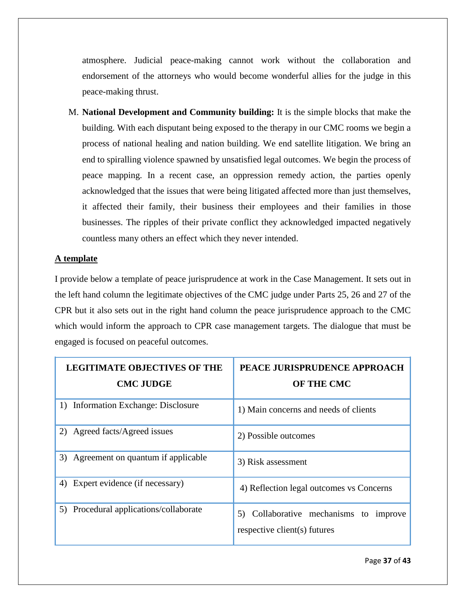atmosphere. Judicial peace-making cannot work without the collaboration and endorsement of the attorneys who would become wonderful allies for the judge in this peace-making thrust.

M. **National Development and Community building:** It is the simple blocks that make the building. With each disputant being exposed to the therapy in our CMC rooms we begin a process of national healing and nation building. We end satellite litigation. We bring an end to spiralling violence spawned by unsatisfied legal outcomes. We begin the process of peace mapping. In a recent case, an oppression remedy action, the parties openly acknowledged that the issues that were being litigated affected more than just themselves, it affected their family, their business their employees and their families in those businesses. The ripples of their private conflict they acknowledged impacted negatively countless many others an effect which they never intended.

#### **A template**

I provide below a template of peace jurisprudence at work in the Case Management. It sets out in the left hand column the legitimate objectives of the CMC judge under Parts 25, 26 and 27 of the CPR but it also sets out in the right hand column the peace jurisprudence approach to the CMC which would inform the approach to CPR case management targets. The dialogue that must be engaged is focused on peaceful outcomes.

| <b>LEGITIMATE OBJECTIVES OF THE</b>       | PEACE JURISPRUDENCE APPROACH                                              |
|-------------------------------------------|---------------------------------------------------------------------------|
| <b>CMC JUDGE</b>                          | <b>OF THE CMC</b>                                                         |
| Information Exchange: Disclosure<br>1)    | 1) Main concerns and needs of clients                                     |
| 2) Agreed facts/Agreed issues             | 2) Possible outcomes                                                      |
| Agreement on quantum if applicable<br>3)  | 3) Risk assessment                                                        |
| Expert evidence (if necessary)<br>4)      | 4) Reflection legal outcomes vs Concerns                                  |
| Procedural applications/collaborate<br>5) | Collaborative mechanisms to improve<br>5)<br>respective client(s) futures |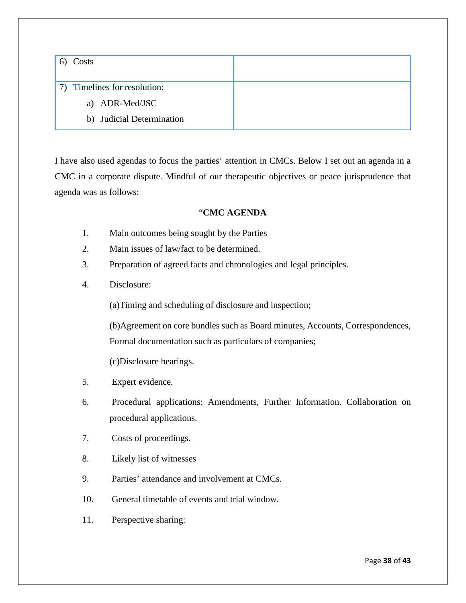| Costs<br>6)                  |  |
|------------------------------|--|
| 7) Timelines for resolution: |  |
| a) ADR-Med/JSC               |  |
| b) Judicial Determination    |  |

I have also used agendas to focus the parties' attention in CMCs. Below I set out an agenda in a CMC in a corporate dispute. Mindful of our therapeutic objectives or peace jurisprudence that agenda was as follows:

### "**CMC AGENDA**

- 1. Main outcomes being sought by the Parties
- 2. Main issues of law/fact to be determined.
- 3. Preparation of agreed facts and chronologies and legal principles.
- 4. Disclosure:

(a)Timing and scheduling of disclosure and inspection;

(b)Agreement on core bundles such as Board minutes, Accounts, Correspondences, Formal documentation such as particulars of companies;

(c)Disclosure hearings.

- 5. Expert evidence.
- 6. Procedural applications: Amendments, Further Information. Collaboration on procedural applications.
- 7. Costs of proceedings.
- 8. Likely list of witnesses
- 9. Parties' attendance and involvement at CMCs.
- 10. General timetable of events and trial window.
- 11. Perspective sharing: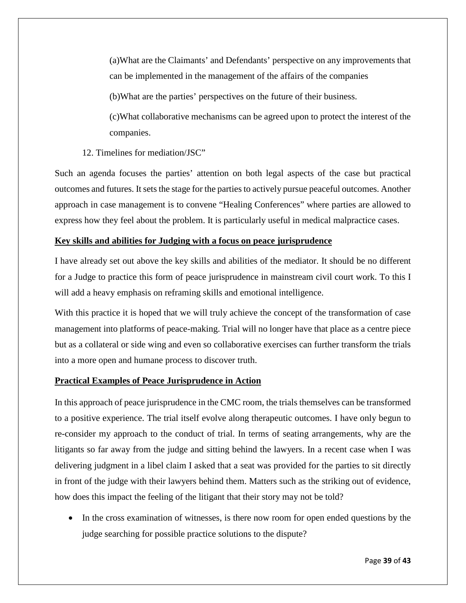(a)What are the Claimants' and Defendants' perspective on any improvements that can be implemented in the management of the affairs of the companies

(b)What are the parties' perspectives on the future of their business.

(c)What collaborative mechanisms can be agreed upon to protect the interest of the companies.

12. Timelines for mediation/JSC"

Such an agenda focuses the parties' attention on both legal aspects of the case but practical outcomes and futures. It sets the stage for the parties to actively pursue peaceful outcomes. Another approach in case management is to convene "Healing Conferences" where parties are allowed to express how they feel about the problem. It is particularly useful in medical malpractice cases.

#### **Key skills and abilities for Judging with a focus on peace jurisprudence**

I have already set out above the key skills and abilities of the mediator. It should be no different for a Judge to practice this form of peace jurisprudence in mainstream civil court work. To this I will add a heavy emphasis on reframing skills and emotional intelligence.

With this practice it is hoped that we will truly achieve the concept of the transformation of case management into platforms of peace-making. Trial will no longer have that place as a centre piece but as a collateral or side wing and even so collaborative exercises can further transform the trials into a more open and humane process to discover truth.

#### **Practical Examples of Peace Jurisprudence in Action**

In this approach of peace jurisprudence in the CMC room, the trials themselves can be transformed to a positive experience. The trial itself evolve along therapeutic outcomes. I have only begun to re-consider my approach to the conduct of trial. In terms of seating arrangements, why are the litigants so far away from the judge and sitting behind the lawyers. In a recent case when I was delivering judgment in a libel claim I asked that a seat was provided for the parties to sit directly in front of the judge with their lawyers behind them. Matters such as the striking out of evidence, how does this impact the feeling of the litigant that their story may not be told?

• In the cross examination of witnesses, is there now room for open ended questions by the judge searching for possible practice solutions to the dispute?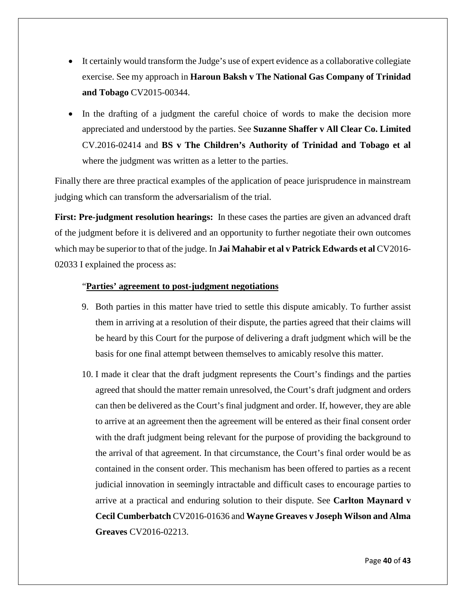- It certainly would transform the Judge's use of expert evidence as a collaborative collegiate exercise. See my approach in **Haroun Baksh v The National Gas Company of Trinidad and Tobago** CV2015-00344.
- In the drafting of a judgment the careful choice of words to make the decision more appreciated and understood by the parties. See **Suzanne Shaffer v All Clear Co. Limited** CV.2016-02414 and **BS v The Children's Authority of Trinidad and Tobago et al** where the judgment was written as a letter to the parties.

Finally there are three practical examples of the application of peace jurisprudence in mainstream judging which can transform the adversarialism of the trial.

**First: Pre-judgment resolution hearings:** In these cases the parties are given an advanced draft of the judgment before it is delivered and an opportunity to further negotiate their own outcomes which may be superior to that of the judge. In **Jai Mahabir et al v Patrick Edwards et al** CV2016- 02033 I explained the process as:

#### "**Parties' agreement to post-judgment negotiations**

- 9. Both parties in this matter have tried to settle this dispute amicably. To further assist them in arriving at a resolution of their dispute, the parties agreed that their claims will be heard by this Court for the purpose of delivering a draft judgment which will be the basis for one final attempt between themselves to amicably resolve this matter.
- 10. I made it clear that the draft judgment represents the Court's findings and the parties agreed that should the matter remain unresolved, the Court's draft judgment and orders can then be delivered as the Court's final judgment and order. If, however, they are able to arrive at an agreement then the agreement will be entered as their final consent order with the draft judgment being relevant for the purpose of providing the background to the arrival of that agreement. In that circumstance, the Court's final order would be as contained in the consent order. This mechanism has been offered to parties as a recent judicial innovation in seemingly intractable and difficult cases to encourage parties to arrive at a practical and enduring solution to their dispute. See **Carlton Maynard v Cecil Cumberbatch** CV2016-01636 and **Wayne Greaves v Joseph Wilson and Alma Greaves** CV2016-02213.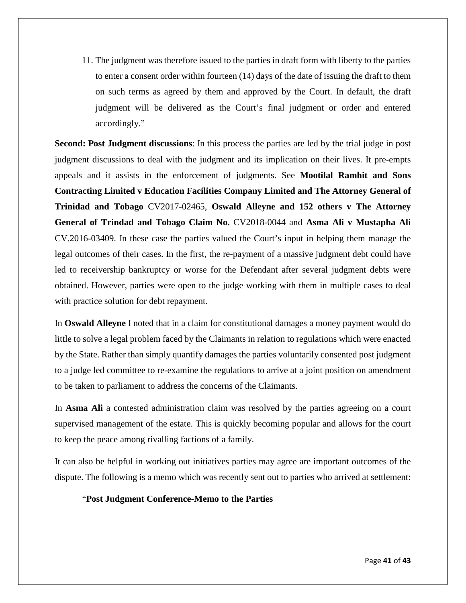11. The judgment was therefore issued to the parties in draft form with liberty to the parties to enter a consent order within fourteen (14) days of the date of issuing the draft to them on such terms as agreed by them and approved by the Court. In default, the draft judgment will be delivered as the Court's final judgment or order and entered accordingly."

**Second: Post Judgment discussions**: In this process the parties are led by the trial judge in post judgment discussions to deal with the judgment and its implication on their lives. It pre-empts appeals and it assists in the enforcement of judgments. See **Mootilal Ramhit and Sons Contracting Limited v Education Facilities Company Limited and The Attorney General of Trinidad and Tobago** CV2017-02465, **Oswald Alleyne and 152 others v The Attorney General of Trindad and Tobago Claim No.** CV2018-0044 and **Asma Ali v Mustapha Ali** CV.2016-03409. In these case the parties valued the Court's input in helping them manage the legal outcomes of their cases. In the first, the re-payment of a massive judgment debt could have led to receivership bankruptcy or worse for the Defendant after several judgment debts were obtained. However, parties were open to the judge working with them in multiple cases to deal with practice solution for debt repayment.

In **Oswald Alleyne** I noted that in a claim for constitutional damages a money payment would do little to solve a legal problem faced by the Claimants in relation to regulations which were enacted by the State. Rather than simply quantify damages the parties voluntarily consented post judgment to a judge led committee to re-examine the regulations to arrive at a joint position on amendment to be taken to parliament to address the concerns of the Claimants.

In **Asma Ali** a contested administration claim was resolved by the parties agreeing on a court supervised management of the estate. This is quickly becoming popular and allows for the court to keep the peace among rivalling factions of a family.

It can also be helpful in working out initiatives parties may agree are important outcomes of the dispute. The following is a memo which was recently sent out to parties who arrived at settlement:

#### "**Post Judgment Conference-Memo to the Parties**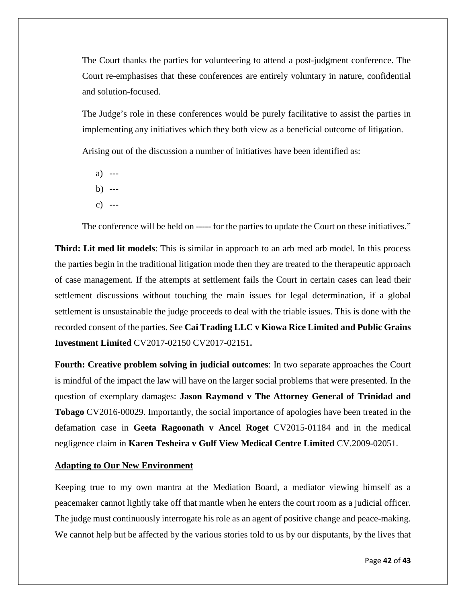The Court thanks the parties for volunteering to attend a post-judgment conference. The Court re-emphasises that these conferences are entirely voluntary in nature, confidential and solution-focused.

The Judge's role in these conferences would be purely facilitative to assist the parties in implementing any initiatives which they both view as a beneficial outcome of litigation.

Arising out of the discussion a number of initiatives have been identified as:

- a) ---
- $b)$  ---
- c)  $---$

The conference will be held on ----- for the parties to update the Court on these initiatives."

**Third: Lit med lit models**: This is similar in approach to an arb med arb model. In this process the parties begin in the traditional litigation mode then they are treated to the therapeutic approach of case management. If the attempts at settlement fails the Court in certain cases can lead their settlement discussions without touching the main issues for legal determination, if a global settlement is unsustainable the judge proceeds to deal with the triable issues. This is done with the recorded consent of the parties. See **Cai Trading LLC v Kiowa Rice Limited and Public Grains Investment Limited** CV2017-02150 CV2017-02151**.** 

**Fourth: Creative problem solving in judicial outcomes**: In two separate approaches the Court is mindful of the impact the law will have on the larger social problems that were presented. In the question of exemplary damages: **Jason Raymond v The Attorney General of Trinidad and Tobago** CV2016-00029. Importantly, the social importance of apologies have been treated in the defamation case in **Geeta Ragoonath v Ancel Roget** CV2015-01184 and in the medical negligence claim in **Karen Tesheira v Gulf View Medical Centre Limited** CV.2009-02051.

#### **Adapting to Our New Environment**

Keeping true to my own mantra at the Mediation Board, a mediator viewing himself as a peacemaker cannot lightly take off that mantle when he enters the court room as a judicial officer. The judge must continuously interrogate his role as an agent of positive change and peace-making. We cannot help but be affected by the various stories told to us by our disputants, by the lives that